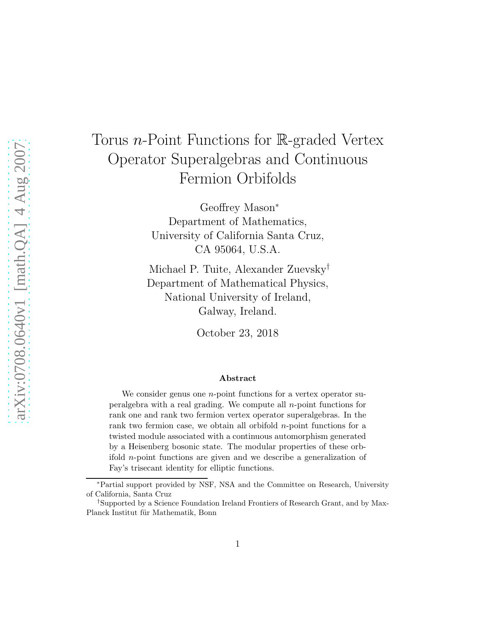# Torus *n*-Point Functions for  $\mathbb{R}$ -graded Vertex Operator Superalgebras and Continuous Fermion Orbifolds

Geoffrey Mason<sup>∗</sup> Department of Mathematics, University of California Santa Cruz, CA 95064, U.S.A.

Michael P. Tuite, Alexander Zuevsky† Department of Mathematical Physics, National University of Ireland, Galway, Ireland.

October 23, 2018

#### Abstract

We consider genus one  $n$ -point functions for a vertex operator superalgebra with a real grading. We compute all  $n$ -point functions for rank one and rank two fermion vertex operator superalgebras. In the rank two fermion case, we obtain all orbifold  $n$ -point functions for a twisted module associated with a continuous automorphism generated by a Heisenberg bosonic state. The modular properties of these orbifold n-point functions are given and we describe a generalization of Fay's trisecant identity for elliptic functions.

<sup>∗</sup>Partial support provided by NSF, NSA and the Committee on Research, University of California, Santa Cruz

<sup>†</sup>Supported by a Science Foundation Ireland Frontiers of Research Grant, and by Max-Planck Institut für Mathematik, Bonn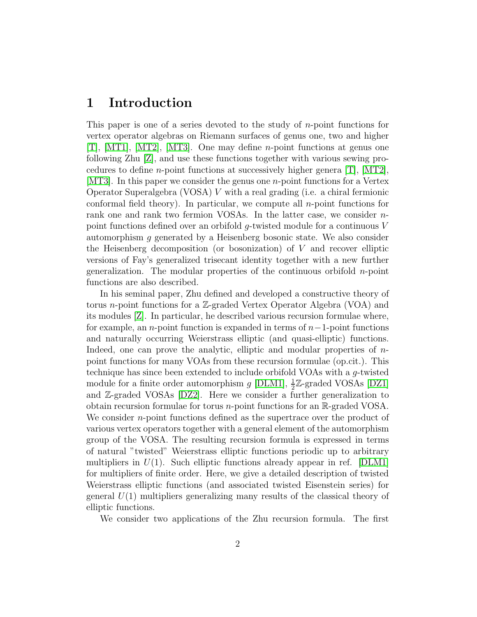### 1 Introduction

This paper is one of a series devoted to the study of n-point functions for vertex operator algebras on Riemann surfaces of genus one, two and higher [\[T\]](#page-49-0), [\[MT1\]](#page-48-0), [\[MT2\]](#page-48-1), [\[MT3\]](#page-48-2). One may define n-point functions at genus one following Zhu [\[Z\]](#page-49-1), and use these functions together with various sewing procedures to define *n*-point functions at successively higher genera  $[T]$ ,  $[MT2]$ , [\[MT3\]](#page-48-2). In this paper we consider the genus one n-point functions for a Vertex Operator Superalgebra (VOSA) V with a real grading (i.e. a chiral fermionic conformal field theory). In particular, we compute all n-point functions for rank one and rank two fermion VOSAs. In the latter case, we consider npoint functions defined over an orbifold g-twisted module for a continuous V automorphism  $q$  generated by a Heisenberg bosonic state. We also consider the Heisenberg decomposition (or bosonization) of  $V$  and recover elliptic versions of Fay's generalized trisecant identity together with a new further generalization. The modular properties of the continuous orbifold  $n$ -point functions are also described.

In his seminal paper, Zhu defined and developed a constructive theory of torus n-point functions for a Z-graded Vertex Operator Algebra (VOA) and its modules [\[Z\]](#page-49-1). In particular, he described various recursion formulae where, for example, an n-point function is expanded in terms of  $n-1$ -point functions and naturally occurring Weierstrass elliptic (and quasi-elliptic) functions. Indeed, one can prove the analytic, elliptic and modular properties of  $n$ point functions for many VOAs from these recursion formulae (op.cit.). This technique has since been extended to include orbifold VOAs with a g-twisted module for a finite order automorphism  $g$  [\[DLM1\]](#page-47-0),  $\frac{1}{2}\mathbb{Z}$ -graded VOSAs [\[DZ1\]](#page-47-1) and Z-graded VOSAs [\[DZ2\]](#page-47-2). Here we consider a further generalization to obtain recursion formulae for torus n-point functions for an R-graded VOSA. We consider *n*-point functions defined as the supertrace over the product of various vertex operators together with a general element of the automorphism group of the VOSA. The resulting recursion formula is expressed in terms of natural "twisted" Weierstrass elliptic functions periodic up to arbitrary multipliers in  $U(1)$ . Such elliptic functions already appear in ref. [\[DLM1\]](#page-47-0) for multipliers of finite order. Here, we give a detailed description of twisted Weierstrass elliptic functions (and associated twisted Eisenstein series) for general  $U(1)$  multipliers generalizing many results of the classical theory of elliptic functions.

We consider two applications of the Zhu recursion formula. The first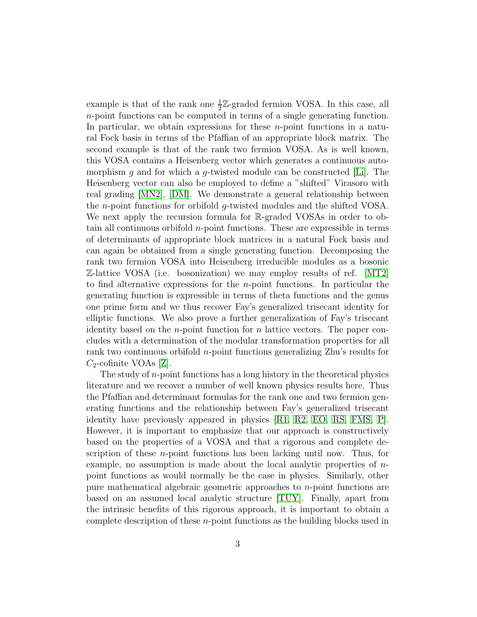example is that of the rank one  $\frac{1}{2}\mathbb{Z}$ -graded fermion VOSA. In this case, all n-point functions can be computed in terms of a single generating function. In particular, we obtain expressions for these  $n$ -point functions in a natural Fock basis in terms of the Pfaffian of an appropriate block matrix. The second example is that of the rank two fermion VOSA. As is well known, this VOSA contains a Heisenberg vector which generates a continuous automorphism g and for which a g-twisted module can be constructed  $[L_i]$ . The Heisenberg vector can also be employed to define a "shifted" Virasoro with real grading [\[MN2\]](#page-48-4), [\[DM\]](#page-47-3). We demonstrate a general relationship between the n-point functions for orbifold g-twisted modules and the shifted VOSA. We next apply the recursion formula for R-graded VOSAs in order to obtain all continuous orbifold n-point functions. These are expressible in terms of determinants of appropriate block matrices in a natural Fock basis and can again be obtained from a single generating function. Decomposing the rank two fermion VOSA into Heisenberg irreducible modules as a bosonic Z-lattice VOSA (i.e. bosonization) we may employ results of ref. [\[MT2\]](#page-48-1) to find alternative expressions for the  $n$ -point functions. In particular the generating function is expressible in terms of theta functions and the genus one prime form and we thus recover Fay's generalized trisecant identity for elliptic functions. We also prove a further generalization of Fay's trisecant identity based on the *n*-point function for *n* lattice vectors. The paper concludes with a determination of the modular transformation properties for all rank two continuous orbifold n-point functions generalizing Zhu's results for  $C_2$ -cofinite VOAs [\[Z\]](#page-49-1).

The study of  $n$ -point functions has a long history in the theoretical physics literature and we recover a number of well known physics results here. Thus the Pfaffian and determinant formulas for the rank one and two fermion generating functions and the relationship between Fay's generalized trisecant identity have previously appeared in physics [\[R1,](#page-49-2) [R2,](#page-49-3) [EO,](#page-47-4) [RS,](#page-49-4) [FMS,](#page-48-5) [P\]](#page-48-6). However, it is important to emphasize that our approach is constructively based on the properties of a VOSA and that a rigorous and complete description of these n-point functions has been lacking until now. Thus, for example, no assumption is made about the local analytic properties of npoint functions as would normally be the case in physics. Similarly, other pure mathematical algebraic geometric approaches to n-point functions are based on an assumed local analytic structure [\[TUY\]](#page-49-5). Finally, apart from the intrinsic benefits of this rigorous approach, it is important to obtain a complete description of these n-point functions as the building blocks used in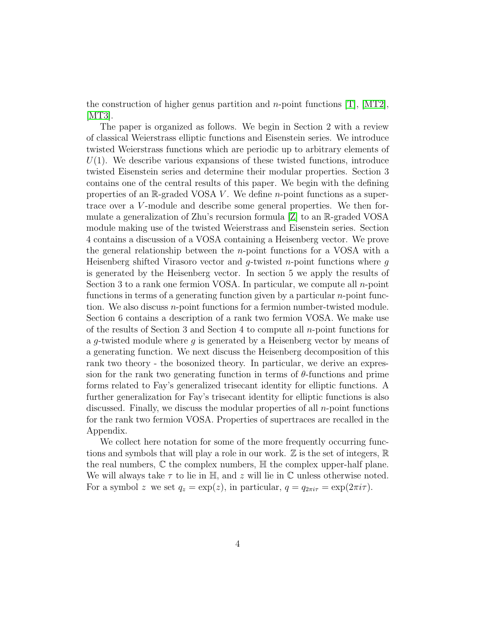the construction of higher genus partition and *n*-point functions  $[T]$ ,  $[MT2]$ ,  $|MT3|$ .

The paper is organized as follows. We begin in Section 2 with a review of classical Weierstrass elliptic functions and Eisenstein series. We introduce twisted Weierstrass functions which are periodic up to arbitrary elements of  $U(1)$ . We describe various expansions of these twisted functions, introduce twisted Eisenstein series and determine their modular properties. Section 3 contains one of the central results of this paper. We begin with the defining properties of an  $\mathbb{R}$ -graded VOSA V. We define *n*-point functions as a supertrace over a V-module and describe some general properties. We then formulate a generalization of Zhu's recursion formula [\[Z\]](#page-49-1) to an R-graded VOSA module making use of the twisted Weierstrass and Eisenstein series. Section 4 contains a discussion of a VOSA containing a Heisenberg vector. We prove the general relationship between the *n*-point functions for a VOSA with a Heisenberg shifted Virasoro vector and  $q$ -twisted n-point functions where  $q$ is generated by the Heisenberg vector. In section 5 we apply the results of Section 3 to a rank one fermion VOSA. In particular, we compute all  $n$ -point functions in terms of a generating function given by a particular n-point function. We also discuss n-point functions for a fermion number-twisted module. Section 6 contains a description of a rank two fermion VOSA. We make use of the results of Section 3 and Section 4 to compute all n-point functions for a g-twisted module where g is generated by a Heisenberg vector by means of a generating function. We next discuss the Heisenberg decomposition of this rank two theory - the bosonized theory. In particular, we derive an expression for the rank two generating function in terms of  $\theta$ -functions and prime forms related to Fay's generalized trisecant identity for elliptic functions. A further generalization for Fay's trisecant identity for elliptic functions is also discussed. Finally, we discuss the modular properties of all  $n$ -point functions for the rank two fermion VOSA. Properties of supertraces are recalled in the Appendix.

We collect here notation for some of the more frequently occurring functions and symbols that will play a role in our work.  $\mathbb Z$  is the set of integers,  $\mathbb R$ the real numbers,  $\mathbb C$  the complex numbers,  $\mathbb H$  the complex upper-half plane. We will always take  $\tau$  to lie in  $\mathbb{H}$ , and z will lie in  $\mathbb{C}$  unless otherwise noted. For a symbol z we set  $q_z = \exp(z)$ , in particular,  $q = q_{2\pi i\tau} = \exp(2\pi i\tau)$ .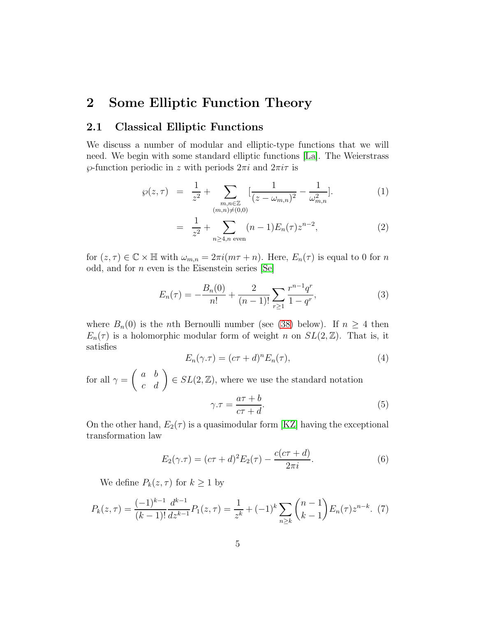### 2 Some Elliptic Function Theory

### 2.1 Classical Elliptic Functions

We discuss a number of modular and elliptic-type functions that we will need. We begin with some standard elliptic functions [\[La\]](#page-48-7). The Weierstrass  $\wp$ -function periodic in z with periods  $2\pi i$  and  $2\pi i\tau$  is

$$
\wp(z,\tau) = \frac{1}{z^2} + \sum_{\substack{m,n \in \mathbb{Z} \\ (m,n) \neq (0,0)}} \left[ \frac{1}{(z - \omega_{m,n})^2} - \frac{1}{\omega_{m,n}^2} \right]. \tag{1}
$$

$$
= \frac{1}{z^2} + \sum_{n \ge 4, n \text{ even}} (n-1) E_n(\tau) z^{n-2}, \tag{2}
$$

for  $(z, \tau) \in \mathbb{C} \times \mathbb{H}$  with  $\omega_{m,n} = 2\pi i (m\tau + n)$ . Here,  $E_n(\tau)$  is equal to 0 for n odd, and for  $n$  even is the Eisenstein series [\[Se\]](#page-49-6)

<span id="page-4-1"></span>
$$
E_n(\tau) = -\frac{B_n(0)}{n!} + \frac{2}{(n-1)!} \sum_{r \ge 1} \frac{r^{n-1} q^r}{1 - q^r},
$$
\n(3)

where  $B_n(0)$  is the *n*th Bernoulli number (see [\(38\)](#page-11-0) below). If  $n \geq 4$  then  $E_n(\tau)$  is a holomorphic modular form of weight n on  $SL(2, \mathbb{Z})$ . That is, it satisfies

<span id="page-4-2"></span>
$$
E_n(\gamma.\tau) = (c\tau + d)^n E_n(\tau), \tag{4}
$$

for all  $\gamma =$  $\begin{pmatrix} a & b \\ c & d \end{pmatrix} \in SL(2, \mathbb{Z})$ , where we use the standard notation  $a\tau + b$ 

$$
\gamma.\tau = \frac{a\tau + b}{c\tau + d}.\tag{5}
$$

On the other hand,  $E_2(\tau)$  is a quasimodular form [\[KZ\]](#page-48-8) having the exceptional transformation law

<span id="page-4-3"></span>
$$
E_2(\gamma \cdot \tau) = (c\tau + d)^2 E_2(\tau) - \frac{c(c\tau + d)}{2\pi i}.
$$
 (6)

We define  $P_k(z, \tau)$  for  $k \geq 1$  by

<span id="page-4-0"></span>
$$
P_k(z,\tau) = \frac{(-1)^{k-1}}{(k-1)!} \frac{d^{k-1}}{dz^{k-1}} P_1(z,\tau) = \frac{1}{z^k} + (-1)^k \sum_{n \ge k} \binom{n-1}{k-1} E_n(\tau) z^{n-k}.
$$
 (7)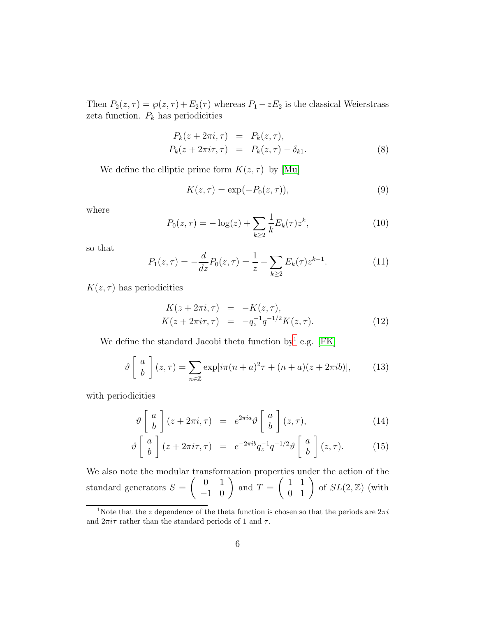Then  $P_2(z, \tau) = \wp(z, \tau) + E_2(\tau)$  whereas  $P_1 - zE_2$  is the classical Weierstrass zeta function.  $\mathcal{P}_k$  has periodicities

<span id="page-5-2"></span>
$$
P_k(z + 2\pi i, \tau) = P_k(z, \tau),
$$
  
\n
$$
P_k(z + 2\pi i\tau, \tau) = P_k(z, \tau) - \delta_{k1}.
$$
\n(8)

We define the elliptic prime form  $K(z, \tau)$  by [\[Mu\]](#page-48-9)

<span id="page-5-5"></span>
$$
K(z,\tau) = \exp(-P_0(z,\tau)),\tag{9}
$$

where

$$
P_0(z,\tau) = -\log(z) + \sum_{k\geq 2} \frac{1}{k} E_k(\tau) z^k, \tag{10}
$$

so that

<span id="page-5-3"></span>
$$
P_1(z,\tau) = -\frac{d}{dz}P_0(z,\tau) = \frac{1}{z} - \sum_{k \ge 2} E_k(\tau) z^{k-1}.
$$
 (11)

 $K(z, \tau)$  has periodicities

$$
K(z + 2\pi i, \tau) = -K(z, \tau), K(z + 2\pi i\tau, \tau) = -q_z^{-1}q^{-1/2}K(z, \tau).
$$
 (12)

We define the standard Jacobi theta function by<sup>[1](#page-5-0)</sup> e.g. [\[FK\]](#page-47-5)

<span id="page-5-4"></span>
$$
\vartheta \left[ \begin{array}{c} a \\ b \end{array} \right] (z, \tau) = \sum_{n \in \mathbb{Z}} \exp[i\pi(n+a)^2 \tau + (n+a)(z+2\pi i b)], \tag{13}
$$

with periodicities

<span id="page-5-1"></span>
$$
\vartheta \left[ \begin{array}{c} a \\ b \end{array} \right] (z + 2\pi i, \tau) = e^{2\pi i a} \vartheta \left[ \begin{array}{c} a \\ b \end{array} \right] (z, \tau), \tag{14}
$$

$$
\vartheta \left[ \begin{array}{c} a \\ b \end{array} \right] (z + 2\pi i \tau, \tau) = e^{-2\pi i b} q_z^{-1} q^{-1/2} \vartheta \left[ \begin{array}{c} a \\ b \end{array} \right] (z, \tau). \tag{15}
$$

We also note the modular transformation properties under the action of the standard generators  $S =$  $\left(\begin{array}{cc} 0 & 1 \\ -1 & 0 \end{array}\right)$ and  $T =$  $\left(\begin{array}{cc} 1 & 1 \\ 0 & 1 \end{array}\right)$  of  $SL(2,\mathbb{Z})$  (with

<span id="page-5-0"></span><sup>&</sup>lt;sup>1</sup>Note that the z dependence of the theta function is chosen so that the periods are  $2\pi i$ and  $2\pi i\tau$  rather than the standard periods of 1 and  $\tau$ .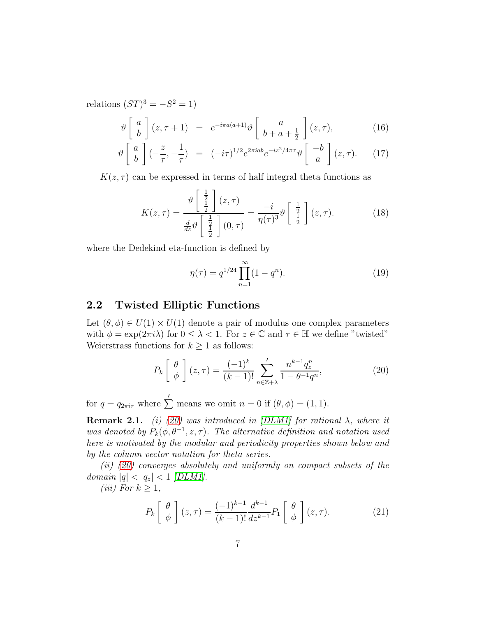relations  $(ST)^3 = -S^2 = 1$ 

<span id="page-6-4"></span>
$$
\vartheta \begin{bmatrix} a \\ b \end{bmatrix} (z, \tau + 1) = e^{-i\pi a(a+1)} \vartheta \begin{bmatrix} a \\ b + a + \frac{1}{2} \end{bmatrix} (z, \tau), \tag{16}
$$

$$
\vartheta \left[ \begin{array}{c} a \\ b \end{array} \right] (-\frac{z}{\tau}, -\frac{1}{\tau}) = (-i\tau)^{1/2} e^{2\pi i ab} e^{-iz^2/4\pi \tau} \vartheta \left[ \begin{array}{c} -b \\ a \end{array} \right] (z, \tau). \tag{17}
$$

 $K(z, \tau)$  can be expressed in terms of half integral theta functions as

<span id="page-6-3"></span>
$$
K(z,\tau) = \frac{\vartheta\left[\frac{\frac{1}{2}}{\frac{1}{2}}\right](z,\tau)}{\frac{d}{dz}\vartheta\left[\frac{\frac{1}{2}}{\frac{1}{2}}\right](0,\tau)} = \frac{-i}{\eta(\tau)^3}\vartheta\left[\frac{\frac{1}{2}}{\frac{1}{2}}\right](z,\tau). \tag{18}
$$

where the Dedekind eta-function is defined by

$$
\eta(\tau) = q^{1/24} \prod_{n=1}^{\infty} (1 - q^n). \tag{19}
$$

### 2.2 Twisted Elliptic Functions

Let  $(\theta, \phi) \in U(1) \times U(1)$  denote a pair of modulus one complex parameters with  $\phi = \exp(2\pi i \lambda)$  for  $0 \leq \lambda < 1$ . For  $z \in \mathbb{C}$  and  $\tau \in \mathbb{H}$  we define "twisted" Weierstrass functions for  $k \geq 1$  as follows:

<span id="page-6-0"></span>
$$
P_k\left[\begin{array}{c}\theta\\\phi\end{array}\right](z,\tau) = \frac{(-1)^k}{(k-1)!} \sum_{n \in \mathbb{Z}+\lambda}^{\prime} \frac{n^{k-1}q_z^n}{1 - \theta^{-1}q^n},\tag{20}
$$

for  $q = q_{2\pi i\tau}$  where  $\sum'$  means we omit  $n = 0$  if  $(\theta, \phi) = (1, 1)$ .

<span id="page-6-2"></span>**Remark 2.1.** (i) [\(20\)](#page-6-0) was introduced in [\[DLM1\]](#page-47-0) for rational  $\lambda$ , where it was denoted by  $P_k(\phi, \theta^{-1}, z, \tau)$ . The alternative definition and notation used here is motivated by the modular and periodicity properties shown below and by the column vector notation for theta series.

(ii) [\(20\)](#page-6-0) converges absolutely and uniformly on compact subsets of the domain  $|q| < |q_z| < 1$  [\[DLM1\]](#page-47-0).

(*iii*) For  $k \geq 1$ ,

<span id="page-6-1"></span>
$$
P_k\left[\begin{array}{c}\theta\\\phi\end{array}\right](z,\tau) = \frac{(-1)^{k-1}}{(k-1)!} \frac{d^{k-1}}{dz^{k-1}} P_1\left[\begin{array}{c}\theta\\\phi\end{array}\right](z,\tau). \tag{21}
$$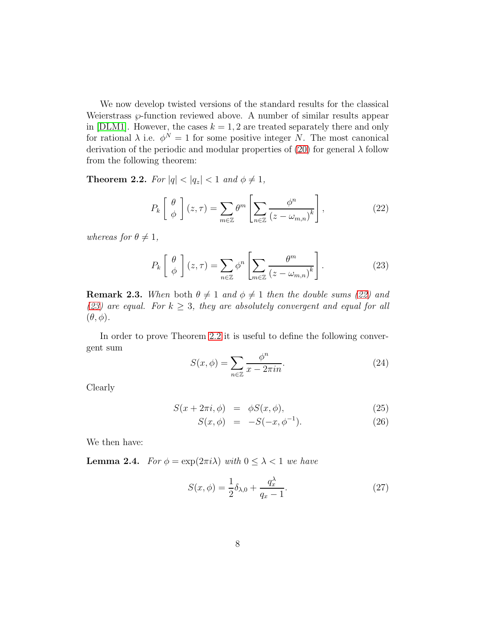We now develop twisted versions of the standard results for the classical Weierstrass  $\wp$ -function reviewed above. A number of similar results appear in [\[DLM1\]](#page-47-0). However, the cases  $k = 1, 2$  are treated separately there and only for rational  $\lambda$  i.e.  $\phi^N = 1$  for some positive integer N. The most canonical derivation of the periodic and modular properties of [\(20\)](#page-6-0) for general  $\lambda$  follow from the following theorem:

<span id="page-7-2"></span>**Theorem 2.2.** For  $|q| < |q_z| < 1$  and  $\phi \neq 1$ ,

<span id="page-7-0"></span>
$$
P_k\left[\begin{array}{c}\theta\\\phi\end{array}\right](z,\tau) = \sum_{m\in\mathbb{Z}} \theta^m \left[\sum_{n\in\mathbb{Z}} \frac{\phi^n}{\left(z - \omega_{m,n}\right)^k}\right],\tag{22}
$$

whereas for  $\theta \neq 1$ ,

<span id="page-7-1"></span>
$$
P_k\left[\begin{array}{c}\theta\\\phi\end{array}\right](z,\tau) = \sum_{n\in\mathbb{Z}} \phi^n \left[\sum_{m\in\mathbb{Z}} \frac{\theta^m}{(z-\omega_{m,n})^k}\right].\tag{23}
$$

**Remark 2.3.** When both  $\theta \neq 1$  and  $\phi \neq 1$  then the double sums [\(22\)](#page-7-0) and [\(23\)](#page-7-1) are equal. For  $k \geq 3$ , they are absolutely convergent and equal for all  $(\theta, \phi)$ .

In order to prove Theorem [2.2](#page-7-2) it is useful to define the following convergent sum

$$
S(x,\phi) = \sum_{n \in \mathbb{Z}} \frac{\phi^n}{x - 2\pi i n}.
$$
 (24)

Clearly

<span id="page-7-3"></span>
$$
S(x + 2\pi i, \phi) = \phi S(x, \phi), \tag{25}
$$

$$
S(x, \phi) = -S(-x, \phi^{-1}). \tag{26}
$$

We then have:

<span id="page-7-4"></span>**Lemma 2.4.** For  $\phi = \exp(2\pi i \lambda)$  with  $0 \leq \lambda < 1$  we have

$$
S(x,\phi) = \frac{1}{2}\delta_{\lambda,0} + \frac{q_x^{\lambda}}{q_x - 1}.
$$
 (27)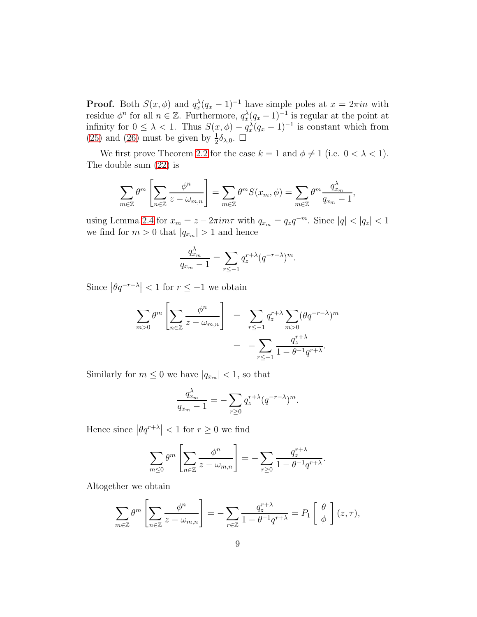**Proof.** Both  $S(x, \phi)$  and  $q_x^{\lambda}(q_x - 1)^{-1}$  have simple poles at  $x = 2\pi i n$  with residue  $\phi^n$  for all  $n \in \mathbb{Z}$ . Furthermore,  $q_x^{\lambda}(q_x-1)^{-1}$  is regular at the point at infinity for  $0 \leq \lambda < 1$ . Thus  $S(x, \phi) - q_x^{\lambda}(q_x - 1)^{-1}$  is constant which from [\(25\)](#page-7-3) and [\(26\)](#page-7-3) must be given by  $\frac{1}{2}\delta_{\lambda,0}$ .  $\Box$ 

We first prove Theorem [2.2](#page-7-2) for the case  $k = 1$  and  $\phi \neq 1$  (i.e.  $0 < \lambda < 1$ ). The double sum [\(22\)](#page-7-0) is

$$
\sum_{m\in\mathbb{Z}} \theta^m \left[ \sum_{n\in\mathbb{Z}} \frac{\phi^n}{z - \omega_{m,n}} \right] = \sum_{m\in\mathbb{Z}} \theta^m S(x_m, \phi) = \sum_{m\in\mathbb{Z}} \theta^m \frac{q_{x_m}^{\lambda}}{q_{x_m} - 1},
$$

using Lemma [2.4](#page-7-4) for  $x_m = z - 2\pi im\tau$  with  $q_{x_m} = q_z q^{-m}$ . Since  $|q| < |q_z| < 1$ we find for  $m > 0$  that  $|q_{x_m}| > 1$  and hence

$$
\frac{q_{x_m}^{\lambda}}{q_{x_m}-1} = \sum_{r \leq -1} q_z^{r+\lambda} (q^{-r-\lambda})^m.
$$

Since  $|\theta q^{-r-\lambda}| < 1$  for  $r \leq -1$  we obtain

$$
\sum_{m>0} \theta^m \left[ \sum_{n \in \mathbb{Z}} \frac{\phi^n}{z - \omega_{m,n}} \right] = \sum_{r \le -1} q_z^{r+\lambda} \sum_{m>0} (\theta q^{-r-\lambda})^m
$$

$$
= -\sum_{r \le -1} \frac{q_z^{r+\lambda}}{1 - \theta^{-1} q^{r+\lambda}}.
$$

Similarly for  $m \leq 0$  we have  $|q_{x_m}| < 1$ , so that

$$
\frac{q_{x_m}^{\lambda}}{q_{x_m}-1}=-\sum_{r\geq 0}q_{z}^{r+\lambda}(q^{-r-\lambda})^m.
$$

Hence since  $|\theta q^{r+\lambda}| < 1$  for  $r \geq 0$  we find

$$
\sum_{m\leq 0} \theta^m \left[ \sum_{n\in \mathbb{Z}} \frac{\phi^n}{z - \omega_{m,n}} \right] = -\sum_{r\geq 0} \frac{q_z^{r+\lambda}}{1 - \theta^{-1}q^{r+\lambda}}.
$$

Altogether we obtain

$$
\sum_{m\in\mathbb{Z}}\theta^m\left[\sum_{n\in\mathbb{Z}}\frac{\phi^n}{z-\omega_{m,n}}\right]=-\sum_{r\in\mathbb{Z}}\frac{q_z^{r+\lambda}}{1-\theta^{-1}q^{r+\lambda}}=P_1\left[\begin{array}{c}\theta\\ \phi\end{array}\right](z,\tau),
$$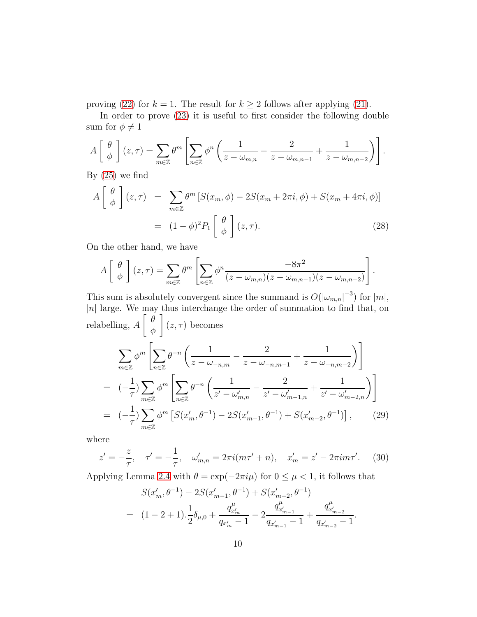proving [\(22\)](#page-7-0) for  $k = 1$ . The result for  $k \ge 2$  follows after applying [\(21\)](#page-6-1).

In order to prove [\(23\)](#page-7-1) it is useful to first consider the following double sum for  $\phi \neq 1$ 

$$
A\left[\begin{array}{c}\theta \\ \phi \end{array}\right](z,\tau) = \sum_{m\in\mathbb{Z}} \theta^m \left[\sum_{n\in\mathbb{Z}} \phi^n \left(\frac{1}{z-\omega_{m,n}}-\frac{2}{z-\omega_{m,n-1}}+\frac{1}{z-\omega_{m,n-2}}\right)\right].
$$

By  $(25)$  we find

<span id="page-9-0"></span>
$$
A\begin{bmatrix} \theta \\ \phi \end{bmatrix} (z,\tau) = \sum_{m \in \mathbb{Z}} \theta^m \left[ S(x_m, \phi) - 2S(x_m + 2\pi i, \phi) + S(x_m + 4\pi i, \phi) \right]
$$

$$
= (1 - \phi)^2 P_1 \begin{bmatrix} \theta \\ \phi \end{bmatrix} (z,\tau).
$$
(28)

On the other hand, we have

$$
A\left[\begin{array}{c}\theta \\ \phi \end{array}\right](z,\tau) = \sum_{m\in\mathbb{Z}} \theta^m \left[\sum_{n\in\mathbb{Z}} \phi^n \frac{-8\pi^2}{(z-\omega_{m,n})(z-\omega_{m,n-1})(z-\omega_{m,n-2})}\right].
$$

This sum is absolutely convergent since the summand is  $O(|\omega_{m,n}|^{-3})$  for  $|m|$ ,  $|n|$  large. We may thus interchange the order of summation to find that, on relabelling, A  $\int$   $\theta$ φ 1  $(z, \tau)$  becomes

<span id="page-9-1"></span>
$$
\sum_{m\in\mathbb{Z}} \phi^m \left[ \sum_{n\in\mathbb{Z}} \theta^{-n} \left( \frac{1}{z - \omega_{-n,m}} - \frac{2}{z - \omega_{-n,m-1}} + \frac{1}{z - \omega_{-n,m-2}} \right) \right]
$$
  
=  $(-\frac{1}{\tau}) \sum_{m\in\mathbb{Z}} \phi^m \left[ \sum_{n\in\mathbb{Z}} \theta^{-n} \left( \frac{1}{z' - \omega'_{m,n}} - \frac{2}{z' - \omega'_{m-1,n}} + \frac{1}{z' - \omega'_{m-2,n}} \right) \right]$   
=  $(-\frac{1}{\tau}) \sum_{m\in\mathbb{Z}} \phi^m \left[ S(x'_m, \theta^{-1}) - 2S(x'_{m-1}, \theta^{-1}) + S(x'_{m-2}, \theta^{-1}) \right],$  (29)

where

<span id="page-9-2"></span>
$$
z' = -\frac{z}{\tau}, \quad \tau' = -\frac{1}{\tau}, \quad \omega'_{m,n} = 2\pi i (m\tau' + n), \quad x'_m = z' - 2\pi i m\tau'. \tag{30}
$$

Applying Lemma [2.4](#page-7-4) with  $\theta = \exp(-2\pi i \mu)$  for  $0 \leq \mu < 1$ , it follows that

$$
S(x'_m, \theta^{-1}) - 2S(x'_{m-1}, \theta^{-1}) + S(x'_{m-2}, \theta^{-1})
$$
  
= 
$$
(1 - 2 + 1) \cdot \frac{1}{2} \delta_{\mu,0} + \frac{q^{\mu}_{x'_m}}{q_{x'_m} - 1} - 2 \frac{q^{\mu}_{x'_{m-1}}}{q_{x'_{m-1}} - 1} + \frac{q^{\mu}_{x'_{m-2}}}{q_{x'_{m-2}} - 1}.
$$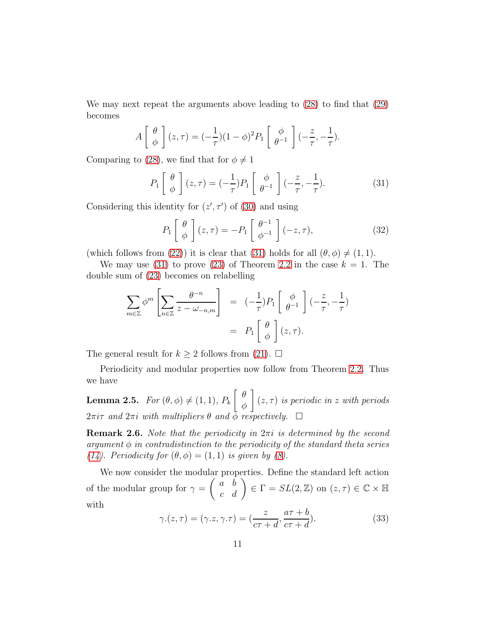We may next repeat the arguments above leading to [\(28\)](#page-9-0) to find that [\(29\)](#page-9-1) becomes

$$
A\left[\begin{array}{c}\theta\\\phi\end{array}\right](z,\tau) = (-\frac{1}{\tau})(1-\phi)^2 P_1\left[\begin{array}{c}\phi\\\theta^{-1}\end{array}\right] (-\frac{z}{\tau}, -\frac{1}{\tau}).
$$

Comparing to [\(28\)](#page-9-0), we find that for  $\phi \neq 1$ 

<span id="page-10-0"></span>
$$
P_1\left[\begin{array}{c}\theta\\\phi\end{array}\right](z,\tau) = \left(-\frac{1}{\tau}\right)P_1\left[\begin{array}{c}\phi\\\theta^{-1}\end{array}\right]\left(-\frac{z}{\tau},-\frac{1}{\tau}\right). \tag{31}
$$

Considering this identity for  $(z', \tau')$  of [\(30\)](#page-9-2) and using

<span id="page-10-1"></span>
$$
P_1\left[\begin{array}{c}\theta\\\phi\end{array}\right](z,\tau) = -P_1\left[\begin{array}{c}\theta^{-1}\\phi^{-1}\end{array}\right](-z,\tau),\tag{32}
$$

(which follows from [\(22\)](#page-7-0)) it is clear that [\(31\)](#page-10-0) holds for all  $(\theta, \phi) \neq (1, 1)$ .

We may use [\(31\)](#page-10-0) to prove [\(23\)](#page-7-1) of Theorem [2.2](#page-7-2) in the case  $k = 1$ . The double sum of [\(23\)](#page-7-1) becomes on relabelling

$$
\sum_{m\in\mathbb{Z}} \phi^m \left[ \sum_{n\in\mathbb{Z}} \frac{\theta^{-n}}{z - \omega_{-n,m}} \right] = (-\frac{1}{\tau}) P_1 \left[ \begin{array}{c} \phi \\ \theta^{-1} \end{array} \right] (-\frac{z}{\tau}, -\frac{1}{\tau})
$$

$$
= P_1 \left[ \begin{array}{c} \theta \\ \phi \end{array} \right] (z,\tau).
$$

The general result for  $k \geq 2$  follows from [\(21\)](#page-6-1).  $\Box$ 

Periodicity and modular properties now follow from Theorem [2.2.](#page-7-2) Thus we have

<span id="page-10-2"></span>**Lemma 2.5.** For  $(\theta, \phi) \neq (1, 1), P_k$  θ φ 1  $(z, \tau)$  is periodic in z with periods  $2\pi i\tau$  and  $2\pi i$  with multipliers  $\theta$  and  $\bar{\phi}$  respectively.  $\Box$ 

**Remark 2.6.** Note that the periodicity in  $2\pi i$  is determined by the second argument  $\phi$  in contradistinction to the periodicity of the standard theta series [\(14\)](#page-5-1). Periodicity for  $(\theta, \phi) = (1, 1)$  is given by [\(8\)](#page-5-2).

We now consider the modular properties. Define the standard left action of the modular group for  $\gamma =$  $\begin{pmatrix} a & b \\ c & d \end{pmatrix} \in \Gamma = SL(2, \mathbb{Z})$  on  $(z, \tau) \in \mathbb{C} \times \mathbb{H}$ with

<span id="page-10-3"></span>
$$
\gamma.(z,\tau) = (\gamma.z, \gamma.\tau) = (\frac{z}{c\tau + d}, \frac{a\tau + b}{c\tau + d}).
$$
\n(33)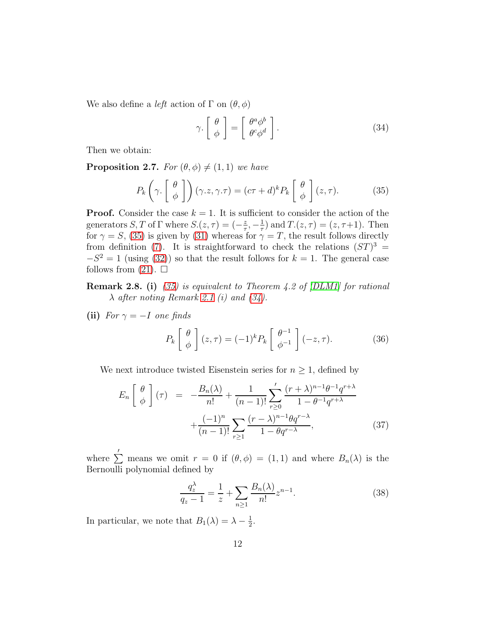We also define a *left* action of  $\Gamma$  on  $(\theta, \phi)$ 

<span id="page-11-2"></span>
$$
\gamma \cdot \left[ \begin{array}{c} \theta \\ \phi \end{array} \right] = \left[ \begin{array}{c} \theta^a \phi^b \\ \theta^c \phi^d \end{array} \right]. \tag{34}
$$

Then we obtain:

<span id="page-11-4"></span>**Proposition 2.7.** For  $(\theta, \phi) \neq (1, 1)$  we have

<span id="page-11-1"></span>
$$
P_k\left(\gamma.\begin{bmatrix} \theta \\ \phi \end{bmatrix}\right)(\gamma.z,\gamma.\tau) = (c\tau + d)^k P_k\begin{bmatrix} \theta \\ \phi \end{bmatrix}(z,\tau). \tag{35}
$$

**Proof.** Consider the case  $k = 1$ . It is sufficient to consider the action of the generators  $S, T$  of  $\Gamma$  where  $S.(z, \tau) = \left(-\frac{z}{\tau}\right)$  $\frac{z}{\tau}$ ,  $-\frac{1}{\tau}$  $(\frac{1}{\tau})$  and  $T.(z, \tau) = (z, \tau+1)$ . Then for  $\gamma = S$ , [\(35\)](#page-11-1) is given by [\(31\)](#page-10-0) whereas for  $\gamma = T$ , the result follows directly from definition [\(7\)](#page-4-0). It is straightforward to check the relations  $(ST)^3 =$  $-S^2 = 1$  (using [\(32\)](#page-10-1)) so that the result follows for  $k = 1$ . The general case follows from  $(21)$ .  $\Box$ 

**Remark 2.8. (i)** [\(35\)](#page-11-1) is equivalent to Theorem 4.2 of  $[DLM1]$  for rational  $\lambda$  after noting Remark [2.1](#page-6-2) (i) and [\(34\)](#page-11-2).

(ii) For  $\gamma = -I$  one finds

<span id="page-11-5"></span>
$$
P_k\left[\begin{array}{c}\theta\\\phi\end{array}\right](z,\tau) = (-1)^k P_k\left[\begin{array}{c}\theta^{-1}\\ \phi^{-1}\end{array}\right](-z,\tau). \tag{36}
$$

We next introduce twisted Eisenstein series for  $n \geq 1$ , defined by

<span id="page-11-3"></span>
$$
E_n\left[\begin{array}{c}\theta \\ \phi \end{array}\right](\tau) = -\frac{B_n(\lambda)}{n!} + \frac{1}{(n-1)!} \sum_{r\geq 0} ' \frac{(r+\lambda)^{n-1} \theta^{-1} q^{r+\lambda}}{1 - \theta^{-1} q^{r+\lambda}} + \frac{(-1)^n}{(n-1)!} \sum_{r\geq 1} \frac{(r-\lambda)^{n-1} \theta q^{r-\lambda}}{1 - \theta q^{r-\lambda}},
$$
(37)

where  $\sum'$  means we omit  $r = 0$  if  $(\theta, \phi) = (1, 1)$  and where  $B_n(\lambda)$  is the Bernoulli polynomial defined by

<span id="page-11-0"></span>
$$
\frac{q_z^{\lambda}}{q_z - 1} = \frac{1}{z} + \sum_{n \ge 1} \frac{B_n(\lambda)}{n!} z^{n-1}.
$$
 (38)

In particular, we note that  $B_1(\lambda) = \lambda - \frac{1}{2}$  $\frac{1}{2}$ .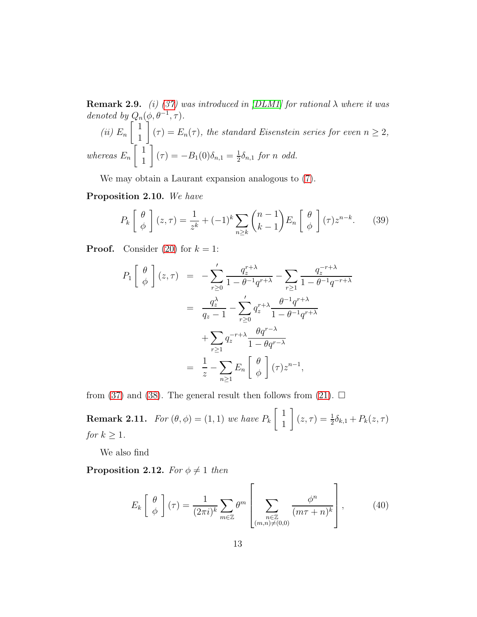**Remark 2.9.** (i) [\(37\)](#page-11-3) was introduced in [\[DLM1\]](#page-47-0) for rational  $\lambda$  where it was denoted by  $Q_n(\phi, \theta^{-1}, \tau)$ .  $(ii)$   $E_n$  $\lceil 1 \rceil$ 1 1  $(\tau) = E_n(\tau)$ , the standard Eisenstein series for even  $n \geq 2$ , whereas  $E_n$  $\lceil 1 \rceil$ 1 1  $(\tau) = -B_1(0)\delta_{n,1} = \frac{1}{2}$  $rac{1}{2}\delta_{n,1}$  for n odd.

We may obtain a Laurant expansion analogous to [\(7\)](#page-4-0).

Proposition 2.10. We have

<span id="page-12-0"></span>
$$
P_k\left[\begin{array}{c}\theta\\\phi\end{array}\right](z,\tau) = \frac{1}{z^k} + (-1)^k \sum_{n\geq k} \binom{n-1}{k-1} E_n\left[\begin{array}{c}\theta\\\phi\end{array}\right](\tau) z^{n-k}.\tag{39}
$$

**Proof.** Consider [\(20\)](#page-6-0) for  $k = 1$ :

$$
P_1\begin{bmatrix} \theta \\ \phi \end{bmatrix}(z,\tau) = -\sum_{r\geq 0}^{\prime} \frac{q_z^{r+\lambda}}{1-\theta^{-1}q^{r+\lambda}} - \sum_{r\geq 1} \frac{q_z^{-r+\lambda}}{1-\theta^{-1}q^{-r+\lambda}}
$$
  

$$
= \frac{q_z^{\lambda}}{q_z-1} - \sum_{r\geq 0}^{\prime} q_z^{r+\lambda} \frac{\theta^{-1}q^{r+\lambda}}{1-\theta^{-1}q^{r+\lambda}}
$$
  

$$
+ \sum_{r\geq 1} q_z^{-r+\lambda} \frac{\theta q^{r-\lambda}}{1-\theta q^{r-\lambda}}
$$
  

$$
= \frac{1}{z} - \sum_{n\geq 1} E_n\begin{bmatrix} \theta \\ \phi \end{bmatrix}(\tau) z^{n-1},
$$

from [\(37\)](#page-11-3) and [\(38\)](#page-11-0). The general result then follows from [\(21\)](#page-6-1).  $\Box$ 

**Remark 2.11.** For  $(\theta, \phi) = (1, 1)$  we have  $P_k$  $\lceil 1 \rceil$ 1  $\left[ (z, \tau) = \frac{1}{2} \delta_{k,1} + P_k(z, \tau) \right]$ for  $k \geq 1$ .

We also find

**Proposition 2.12.** For  $\phi \neq 1$  then

<span id="page-12-1"></span>
$$
E_k\left[\begin{array}{c}\theta\\\phi\end{array}\right](\tau) = \frac{1}{(2\pi i)^k} \sum_{m \in \mathbb{Z}} \theta^m \left[\sum_{\substack{n \in \mathbb{Z}\\\left(m,n\right) \neq (0,0)}} \frac{\phi^n}{(m\tau + n)^k}\right],\tag{40}
$$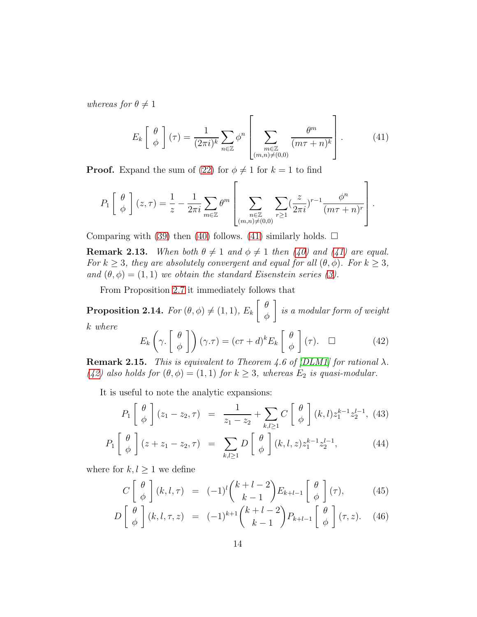whereas for  $\theta \neq 1$ 

<span id="page-13-0"></span>
$$
E_k\left[\begin{array}{c}\theta\\\phi\end{array}\right](\tau) = \frac{1}{(2\pi i)^k} \sum_{n \in \mathbb{Z}} \phi^n \left[\sum_{\substack{m \in \mathbb{Z} \\ (m,n) \neq (0,0)}} \frac{\theta^m}{(m\tau + n)^k}\right].
$$
 (41)

**Proof.** Expand the sum of [\(22\)](#page-7-0) for  $\phi \neq 1$  for  $k = 1$  to find

$$
P_1\left[\begin{array}{c}\theta\\\phi\end{array}\right](z,\tau) = \frac{1}{z} - \frac{1}{2\pi i} \sum_{m \in \mathbb{Z}} \theta^m \left[\sum_{\substack{n \in \mathbb{Z} \\ (m,n) \neq (0,0)}} \sum_{r \geq 1} \left(\frac{z}{2\pi i}\right)^{r-1} \frac{\phi^n}{(m\tau+n)^r}\right].
$$

Comparing with [\(39\)](#page-12-0) then [\(40\)](#page-12-1) follows. [\(41\)](#page-13-0) similarly holds.  $\Box$ 

**Remark 2.13.** When both  $\theta \neq 1$  and  $\phi \neq 1$  then [\(40\)](#page-12-1) and [\(41\)](#page-13-0) are equal. For  $k \geq 3$ , they are absolutely convergent and equal for all  $(\theta, \phi)$ . For  $k \geq 3$ , and  $(\theta, \phi) = (1, 1)$  we obtain the standard Eisenstein series [\(3\)](#page-4-1).

From Proposition [2.7](#page-11-4) it immediately follows that

**Proposition 2.14.** For  $(\theta, \phi) \neq (1, 1)$ ,  $E_k$  $\int$   $\theta$ φ 1 is a modular form of weight k where

<span id="page-13-1"></span>
$$
E_k\left(\gamma.\begin{bmatrix} \theta \\ \phi \end{bmatrix}\right)(\gamma.\tau) = (c\tau + d)^k E_k\begin{bmatrix} \theta \\ \phi \end{bmatrix}(\tau). \quad \Box \tag{42}
$$

**Remark 2.15.** This is equivalent to Theorem 4.6 of [\[DLM1\]](#page-47-0) for rational  $\lambda$ . [\(42\)](#page-13-1) also holds for  $(\theta, \phi) = (1, 1)$  for  $k \geq 3$ , whereas  $E_2$  is quasi-modular.

It is useful to note the analytic expansions:

<span id="page-13-2"></span>
$$
P_1\left[\begin{array}{c}\theta\\ \phi\end{array}\right](z_1-z_2,\tau) = \frac{1}{z_1-z_2} + \sum_{k,l\geq 1} C\left[\begin{array}{c}\theta\\ \phi\end{array}\right](k,l) z_1^{k-1} z_2^{l-1}, (43)
$$

$$
P_1\left[\begin{array}{c}\theta\\\phi\end{array}\right](z+z_1-z_2,\tau) = \sum_{k,l\geq 1} D\left[\begin{array}{c}\theta\\\phi\end{array}\right](k,l,z) z_1^{k-1} z_2^{l-1},\tag{44}
$$

where for  $k, l \geq 1$  we define

<span id="page-13-3"></span>
$$
C\left[\begin{array}{c}\theta\\\phi\end{array}\right](k,l,\tau) = (-1)^l \binom{k+l-2}{k-1} E_{k+l-1}\left[\begin{array}{c}\theta\\\phi\end{array}\right](\tau),\tag{45}
$$

$$
D\left[\begin{array}{c}\theta\\\phi\end{array}\right](k,l,\tau,z) = (-1)^{k+1} {k+l-2 \choose k-1} P_{k+l-1}\left[\begin{array}{c}\theta\\\phi\end{array}\right](\tau,z). \quad (46)
$$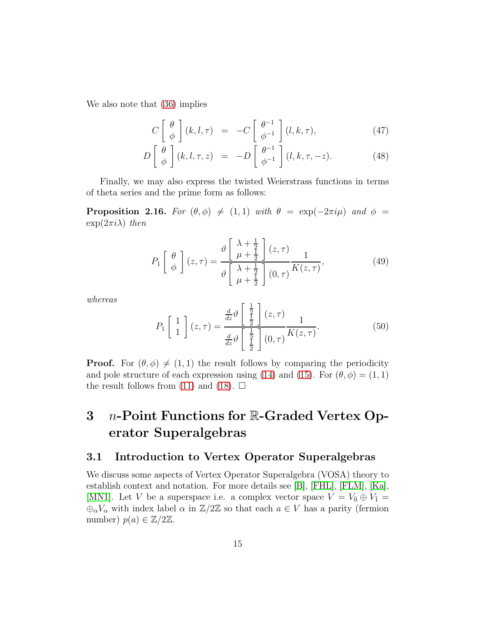We also note that [\(36\)](#page-11-5) implies

<span id="page-14-0"></span>
$$
C\left[\begin{array}{c}\theta\\\phi\end{array}\right](k,l,\tau) = -C\left[\begin{array}{c}\theta^{-1}\\ \phi^{-1}\end{array}\right](l,k,\tau),\tag{47}
$$

$$
D\left[\begin{array}{c}\theta\\\phi\end{array}\right](k,l,\tau,z) = -D\left[\begin{array}{c}\theta^{-1}\\ \phi^{-1}\end{array}\right](l,k,\tau,-z). \tag{48}
$$

Finally, we may also express the twisted Weierstrass functions in terms of theta series and the prime form as follows:

**Proposition 2.16.** For  $(\theta, \phi) \neq (1, 1)$  with  $\theta = \exp(-2\pi i \mu)$  and  $\phi =$  $\exp(2\pi i\lambda)$  then

<span id="page-14-1"></span>
$$
P_1\left[\begin{array}{c}\theta\\\phi\end{array}\right](z,\tau) = \frac{\vartheta\left[\begin{array}{c}\lambda+\frac{1}{2}\\ \mu+\frac{1}{2}\end{array}\right](z,\tau)}{\vartheta\left[\begin{array}{c}\lambda+\frac{1}{2}\\ \mu+\frac{1}{2}\end{array}\right](0,\tau)}\frac{1}{K(z,\tau)},\tag{49}
$$

whereas

$$
P_1\begin{bmatrix} 1\\1 \end{bmatrix}(z,\tau) = \frac{\frac{d}{dz}\vartheta\begin{bmatrix} \frac{1}{2} \\ \frac{1}{2} \end{bmatrix}(z,\tau)}{\frac{d}{dz}\vartheta\begin{bmatrix} \frac{1}{2} \\ \frac{1}{2} \end{bmatrix}(0,\tau)}\frac{1}{K(z,\tau)}.
$$
(50)

**Proof.** For  $(\theta, \phi) \neq (1, 1)$  the result follows by comparing the periodicity and pole structure of each expression using [\(14\)](#page-5-1) and [\(15\)](#page-5-1). For  $(\theta, \phi) = (1, 1)$ the result follows from [\(11\)](#page-5-3) and [\(18\)](#page-6-3).  $\square$ 

## 3 n-Point Functions for R-Graded Vertex Operator Superalgebras

### 3.1 Introduction to Vertex Operator Superalgebras

We discuss some aspects of Vertex Operator Superalgebra (VOSA) theory to establish context and notation. For more details see [\[B\]](#page-47-6), [\[FHL\]](#page-47-7), [\[FLM\]](#page-48-10), [\[Ka\]](#page-48-11), [\[MN1\]](#page-48-12). Let V be a superspace i.e. a complex vector space  $V = V_{\overline{0}} \oplus V_{\overline{1}} =$  $\bigoplus_{\alpha} V_{\alpha}$  with index label  $\alpha$  in  $\mathbb{Z}/2\mathbb{Z}$  so that each  $a \in V$  has a parity (fermion number)  $p(a) \in \mathbb{Z}/2\mathbb{Z}$ .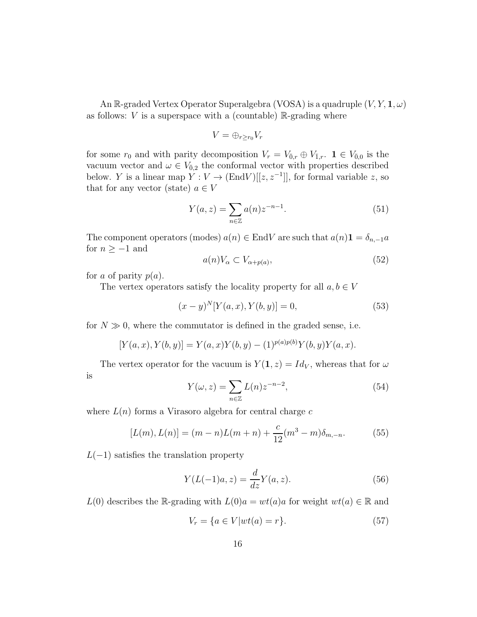An R-graded Vertex Operator Superalgebra (VOSA) is a quadruple  $(V, Y, 1, \omega)$ as follows:  $V$  is a superspace with a (countable)  $\mathbb{R}$ -grading where

$$
V=\oplus_{r\geq r_0}V_r
$$

for some  $r_0$  and with parity decomposition  $V_r = V_{\bar{0},r} \oplus V_{\bar{1},r}$ .  $1 \in V_{\bar{0},0}$  is the vacuum vector and  $\omega \in V_{\bar{0},2}$  the conformal vector with properties described below. Y is a linear map  $Y: V \to (\text{End}V)[[z, z^{-1}]]$ , for formal variable z, so that for any vector (state)  $a \in V$ 

$$
Y(a, z) = \sum_{n \in \mathbb{Z}} a(n) z^{-n-1}.
$$
 (51)

The component operators (modes)  $a(n) \in End V$  are such that  $a(n)1 = \delta_{n,-1}a$ for  $n\geq -1$  and

<span id="page-15-0"></span>
$$
a(n)V_{\alpha} \subset V_{\alpha+p(a)},\tag{52}
$$

for a of parity  $p(a)$ .

The vertex operators satisfy the locality property for all  $a, b \in V$ 

<span id="page-15-1"></span>
$$
(x - y)^{N} [Y(a, x), Y(b, y)] = 0,
$$
\n(53)

for  $N \gg 0$ , where the commutator is defined in the graded sense, i.e.

$$
[Y(a, x), Y(b, y)] = Y(a, x)Y(b, y) - (1)^{p(a)p(b)}Y(b, y)Y(a, x).
$$

The vertex operator for the vacuum is  $Y(1, z) = Id_V$ , whereas that for  $\omega$ is

$$
Y(\omega, z) = \sum_{n \in \mathbb{Z}} L(n) z^{-n-2},\tag{54}
$$

where  $L(n)$  forms a Virasoro algebra for central charge c

$$
[L(m), L(n)] = (m - n)L(m + n) + \frac{c}{12}(m^3 - m)\delta_{m, -n}.
$$
 (55)

 $L(-1)$  satisfies the translation property

$$
Y(L(-1)a, z) = \frac{d}{dz}Y(a, z).
$$
 (56)

 $L(0)$  describes the R-grading with  $L(0)a = wt(a)a$  for weight  $wt(a) \in \mathbb{R}$  and

$$
V_r = \{a \in V|wt(a) = r\}.\tag{57}
$$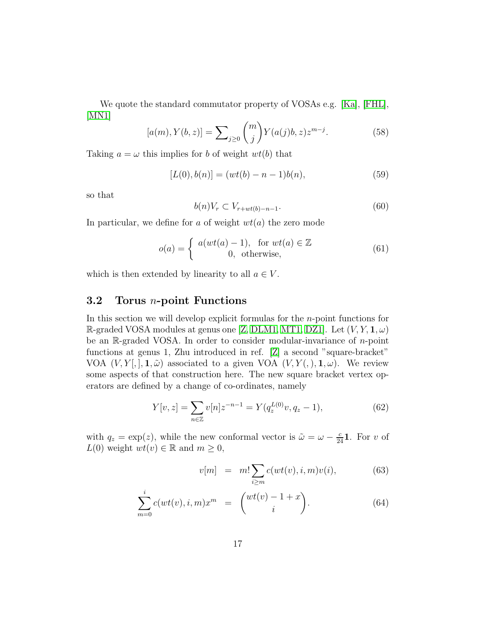We quote the standard commutator property of VOSAs e.g. [\[Ka\]](#page-48-11), [\[FHL\]](#page-47-7), [\[MN1\]](#page-48-12)

<span id="page-16-2"></span>
$$
[a(m), Y(b, z)] = \sum_{j \ge 0} {m \choose j} Y(a(j)b, z) z^{m-j}.
$$
 (58)

Taking  $a = \omega$  this implies for b of weight  $wt(b)$  that

<span id="page-16-1"></span>
$$
[L(0), b(n)] = (wt(b) - n - 1)b(n),
$$
\n(59)

so that

<span id="page-16-5"></span>
$$
b(n)V_r \subset V_{r+wt(b)-n-1}.\tag{60}
$$

In particular, we define for a of weight  $wt(a)$  the zero mode

<span id="page-16-0"></span>
$$
o(a) = \begin{cases} a(wt(a) - 1), & \text{for } wt(a) \in \mathbb{Z} \\ 0, & \text{otherwise,} \end{cases}
$$
(61)

which is then extended by linearity to all  $a \in V$ .

### 3.2 Torus n-point Functions

In this section we will develop explicit formulas for the n-point functions for R-graded VOSA modules at genus one [\[Z,](#page-49-1) [DLM1,](#page-47-0) [MT1,](#page-48-0) [DZ1\]](#page-47-1). Let  $(V, Y, 1, \omega)$ be an  $\mathbb{R}$ -graded VOSA. In order to consider modular-invariance of *n*-point functions at genus 1, Zhu introduced in ref. [\[Z\]](#page-49-1) a second "square-bracket" VOA  $(V, Y[,], \mathbf{1}, \tilde{\omega})$  associated to a given VOA  $(V, Y(0), \mathbf{1}, \omega)$ . We review some aspects of that construction here. The new square bracket vertex operators are defined by a change of co-ordinates, namely

<span id="page-16-4"></span>
$$
Y[v, z] = \sum_{n \in \mathbb{Z}} v[n] z^{-n-1} = Y(q_z^{L(0)} v, q_z - 1), \tag{62}
$$

with  $q_z = \exp(z)$ , while the new conformal vector is  $\tilde{\omega} = \omega - \frac{c}{24}$ **1**. For v of  $L(0)$  weight  $wt(v) \in \mathbb{R}$  and  $m \geq 0$ ,

<span id="page-16-3"></span>
$$
v[m] = m! \sum_{i \ge m} c(wt(v), i, m)v(i), \qquad (63)
$$

$$
\sum_{m=0}^{i} c(wt(v), i, m)x^{m} = \binom{wt(v) - 1 + x}{i}.
$$
 (64)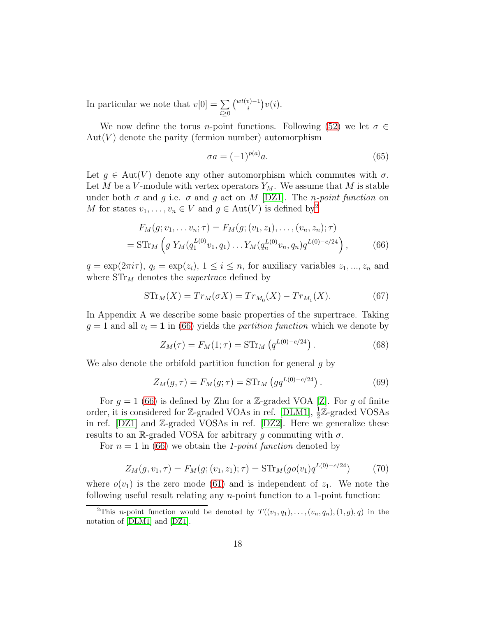In particular we note that  $v[0] = \sum$  $i \geq 0$  $\binom{wt(v)-1}{i}v(i).$ 

We now define the torus *n*-point functions. Following [\(52\)](#page-15-0) we let  $\sigma \in$  $Aut(V)$  denote the parity (fermion number) automorphism

<span id="page-17-3"></span><span id="page-17-1"></span>
$$
\sigma a = (-1)^{p(a)} a. \tag{65}
$$

Let  $g \in Aut(V)$  denote any other automorphism which commutes with  $\sigma$ . Let M be a V-module with vertex operators  $Y_M$ . We assume that M is stable under both  $\sigma$  and g i.e.  $\sigma$  and g act on M [\[DZ1\]](#page-47-1). The *n-point function* on M for states  $v_1, \ldots, v_n \in V$  and  $g \in \text{Aut}(V)$  is defined by<sup>[2](#page-17-0)</sup>

$$
F_M(g; v_1, \dots v_n; \tau) = F_M(g; (v_1, z_1), \dots, (v_n, z_n); \tau)
$$
  
=  $\text{STr}_M \left( g Y_M(q_1^{L(0)} v_1, q_1) \dots Y_M(q_n^{L(0)} v_n, q_n) q^{L(0) - c/24} \right),$  (66)

 $q = \exp(2\pi i \tau), q_i = \exp(z_i), 1 \leq i \leq n$ , for auxiliary variables  $z_1, ..., z_n$  and where  $STr<sub>M</sub>$  denotes the *supertrace* defined by

<span id="page-17-2"></span>
$$
STr_M(X) = Tr_M(\sigma X) = Tr_{M_{\bar{0}}}(X) - Tr_{M_{\bar{1}}}(X).
$$
 (67)

In Appendix A we describe some basic properties of the supertrace. Taking  $g = 1$  and all  $v_i = 1$  in [\(66\)](#page-17-1) yields the *partition function* which we denote by

$$
Z_M(\tau) = F_M(1; \tau) = \text{STr}_M \left( q^{L(0) - c/24} \right). \tag{68}
$$

We also denote the orbifold partition function for general g by

$$
Z_M(g,\tau) = F_M(g;\tau) = \text{STr}_M\left(gq^{L(0)-c/24}\right). \tag{69}
$$

For  $g = 1$  [\(66\)](#page-17-1) is defined by Zhu for a Z-graded VOA [\[Z\]](#page-49-1). For g of finite order, it is considered for Z-graded VOAs in ref. [\[DLM1\]](#page-47-0),  $\frac{1}{2}$ Z-graded VOSAs in ref. [\[DZ1\]](#page-47-1) and Z-graded VOSAs in ref. [\[DZ2\]](#page-47-2). Here we generalize these results to an R-graded VOSA for arbitrary g commuting with  $\sigma$ .

For  $n = 1$  in [\(66\)](#page-17-1) we obtain the 1-point function denoted by

$$
Z_M(g, v_1, \tau) = F_M(g; (v_1, z_1); \tau) = \text{STr}_M(go(v_1)q^{L(0) - c/24}) \tag{70}
$$

where  $o(v_1)$  is the zero mode [\(61\)](#page-16-0) and is independent of  $z_1$ . We note the following useful result relating any n-point function to a 1-point function:

<span id="page-17-0"></span><sup>&</sup>lt;sup>2</sup>This *n*-point function would be denoted by  $T((v_1, q_1), \ldots, (v_n, q_n), (1, q), q)$  in the notation of [\[DLM1\]](#page-47-0) and [\[DZ1\]](#page-47-1).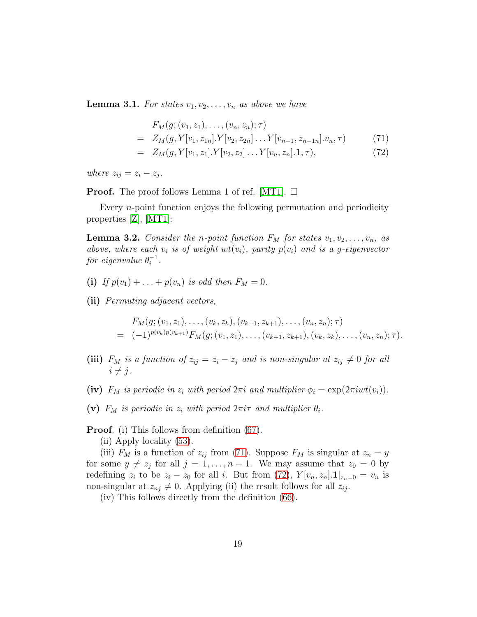<span id="page-18-2"></span>**Lemma 3.1.** For states  $v_1, v_2, \ldots, v_n$  as above we have

<span id="page-18-0"></span>
$$
F_M(g; (v_1, z_1), \dots, (v_n, z_n); \tau)
$$
  
=  $Z_M(g, Y[v_1, z_{1n}]. Y[v_2, z_{2n}] \dots Y[v_{n-1}, z_{n-1n}].v_n, \tau)$  (71)

$$
= Z_M(g, Y[v_1, z_1].Y[v_2, z_2] \dots Y[v_n, z_n].\mathbf{1}, \tau), \tag{72}
$$

where  $z_{ij} = z_i - z_j$ .

**Proof.** The proof follows Lemma 1 of ref. [\[MT1\]](#page-48-0).  $\Box$ 

Every n-point function enjoys the following permutation and periodicity properties [\[Z\]](#page-49-1), [\[MT1\]](#page-48-0):

<span id="page-18-1"></span>**Lemma 3.2.** Consider the *n*-point function  $F_M$  for states  $v_1, v_2, \ldots, v_n$ , as above, where each  $v_i$  is of weight  $wt(v_i)$ , parity  $p(v_i)$  and is a g-eigenvector for eigenvalue  $\theta_i^{-1}$ .

- (i) If  $p(v_1) + ... + p(v_n)$  is odd then  $F_M = 0$ .
- (ii) Permuting adjacent vectors,

$$
F_M(g; (v_1, z_1), \ldots, (v_k, z_k), (v_{k+1}, z_{k+1}), \ldots, (v_n, z_n); \tau)
$$
  
=  $(-1)^{p(v_k)p(v_{k+1})} F_M(g; (v_1, z_1), \ldots, (v_{k+1}, z_{k+1}), (v_k, z_k), \ldots, (v_n, z_n); \tau).$ 

- (iii)  $F_M$  is a function of  $z_{ij} = z_i z_j$  and is non-singular at  $z_{ij} \neq 0$  for all  $i \neq j$ .
- (iv)  $F_M$  is periodic in  $z_i$  with period  $2\pi i$  and multiplier  $\phi_i = \exp(2\pi iwt(v_i)).$
- (v)  $F_M$  is periodic in  $z_i$  with period  $2\pi i\tau$  and multiplier  $\theta_i$ .

Proof. (i) This follows from definition [\(67\)](#page-17-2).

(ii) Apply locality [\(53\)](#page-15-1).

(iii)  $F_M$  is a function of  $z_{ij}$  from [\(71\)](#page-18-0). Suppose  $F_M$  is singular at  $z_n = y$ for some  $y \neq z_j$  for all  $j = 1, ..., n - 1$ . We may assume that  $z_0 = 0$  by redefining  $z_i$  to be  $z_i - z_0$  for all i. But from [\(72\)](#page-18-0),  $Y[v_n, z_n] \mathbf{1} |_{z_n=0} = v_n$  is non-singular at  $z_{nj} \neq 0$ . Applying (ii) the result follows for all  $z_{ij}$ .

(iv) This follows directly from the definition [\(66\)](#page-17-1).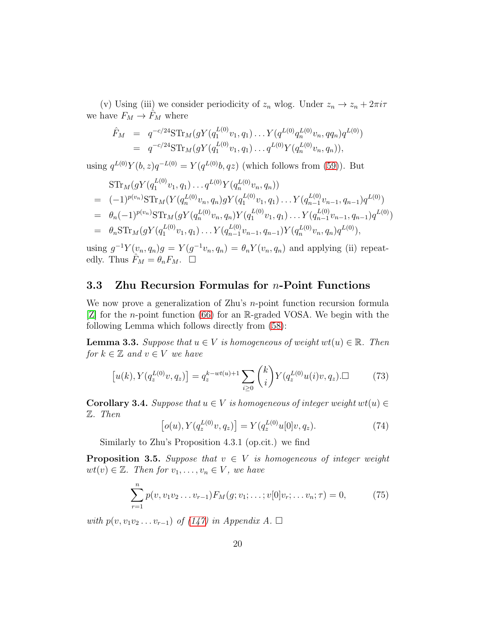(v) Using (iii) we consider periodicity of  $z_n$  wlog. Under  $z_n \to z_n + 2\pi i \tau$ we have  $F_M \to \hat{F}_M$  where

$$
\hat{F}_M = q^{-c/24} \text{STr}_M(gY(q_1^{L(0)}v_1, q_1) \dots Y(q^{L(0)}q_n^{L(0)}v_n, qq_n)q^{L(0)}) \n= q^{-c/24} \text{STr}_M(gY(q_1^{L(0)}v_1, q_1) \dots q^{L(0)}Y(q_n^{L(0)}v_n, q_n)),
$$

using  $q^{L(0)}Y(b, z)q^{-L(0)} = Y(q^{L(0)}b, qz)$  (which follows from [\(59\)](#page-16-1)). But

$$
\begin{split}\n&\text{STr}_{M}(gY(q_{1}^{L(0)}v_{1},q_{1})\ldots q^{L(0)}Y(q_{n}^{L(0)}v_{n},q_{n})) \\
&= (-1)^{p(v_{n})}\text{STr}_{M}(Y(q_{n}^{L(0)}v_{n},q_{n})gY(q_{1}^{L(0)}v_{1},q_{1})\ldots Y(q_{n-1}^{L(0)}v_{n-1},q_{n-1})q^{L(0)}) \\
&= \theta_{n}(-1)^{p(v_{n})}\text{STr}_{M}(gY(q_{n}^{L(0)}v_{n},q_{n})Y(q_{1}^{L(0)}v_{1},q_{1})\ldots Y(q_{n-1}^{L(0)}v_{n-1},q_{n-1})q^{L(0)}) \\
&= \theta_{n}\text{STr}_{M}(gY(q_{1}^{L(0)}v_{1},q_{1})\ldots Y(q_{n-1}^{L(0)}v_{n-1},q_{n-1})Y(q_{n}^{L(0)}v_{n},q_{n})q^{L(0)}),\n\end{split}
$$

using  $g^{-1}Y(v_n, q_n)g = Y(g^{-1}v_n, q_n) = \theta_n Y(v_n, q_n)$  and applying (ii) repeatedly. Thus  $\hat{F}_M = \theta_n F_M$ .  $\Box$ 

#### 3.3 Zhu Recursion Formulas for  $n$ -Point Functions

We now prove a generalization of Zhu's *n*-point function recursion formula [\[Z\]](#page-49-1) for the n-point function [\(66\)](#page-17-1) for an R-graded VOSA. We begin with the following Lemma which follows directly from [\(58\)](#page-16-2):

**Lemma 3.3.** Suppose that  $u \in V$  is homogeneous of weight  $wt(u) \in \mathbb{R}$ . Then for  $k \in \mathbb{Z}$  and  $v \in V$  we have

<span id="page-19-0"></span>
$$
[u(k), Y(q_z^{L(0)}v, q_z)] = q_z^{k-wt(u)+1} \sum_{i \ge 0} \binom{k}{i} Y(q_z^{L(0)}u(i)v, q_z) \square
$$
 (73)

**Corollary 3.4.** Suppose that  $u \in V$  is homogeneous of integer weight  $wt(u) \in$ Z. Then

$$
[o(u), Y(q_z^{L(0)}v, q_z)] = Y(q_z^{L(0)}u[0]v, q_z).
$$
 (74)

Similarly to Zhu's Proposition 4.3.1 (op.cit.) we find

**Proposition 3.5.** Suppose that  $v \in V$  is homogeneous of integer weight  $wt(v) \in \mathbb{Z}$ . Then for  $v_1, \ldots, v_n \in V$ , we have

<span id="page-19-1"></span>
$$
\sum_{r=1}^{n} p(v, v_1 v_2 \dots v_{r-1}) F_M(g; v_1; \dots; v[0] v_r; \dots v_n; \tau) = 0,
$$
 (75)

with  $p(v, v_1v_2 \ldots v_{r-1})$  of [\(147\)](#page-46-0) in Appendix A.  $\Box$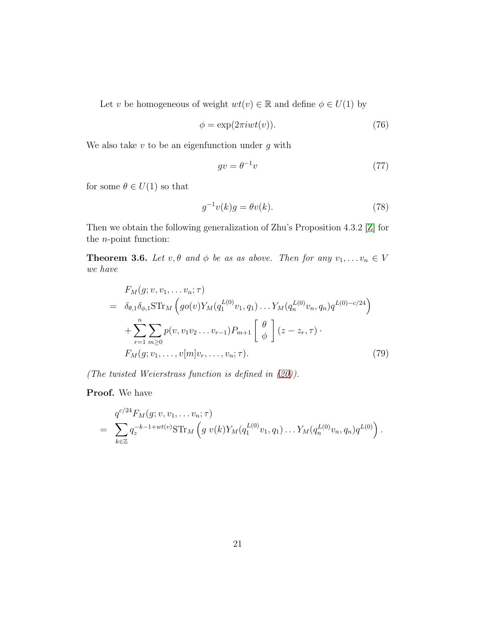Let v be homogeneous of weight  $wt(v) \in \mathbb{R}$  and define  $\phi \in U(1)$  by

<span id="page-20-3"></span>
$$
\phi = \exp(2\pi iwt(v)).\tag{76}
$$

We also take  $v$  to be an eigenfunction under  $g$  with

<span id="page-20-4"></span>
$$
gv = \theta^{-1}v \tag{77}
$$

for some  $\theta \in U(1)$  so that

<span id="page-20-0"></span>
$$
g^{-1}v(k)g = \theta v(k). \tag{78}
$$

Then we obtain the following generalization of Zhu's Proposition 4.3.2 [\[Z\]](#page-49-1) for the n-point function:

<span id="page-20-2"></span>**Theorem 3.6.** Let  $v, \theta$  and  $\phi$  be as as above. Then for any  $v_1, \ldots v_n \in V$ we have

<span id="page-20-1"></span>
$$
F_M(g; v, v_1, \dots v_n; \tau)
$$
  
=  $\delta_{\theta,1} \delta_{\phi,1} \text{STr}_M \left( g o(v) Y_M(q_1^{L(0)} v_1, q_1) \dots Y_M(q_n^{L(0)} v_n, q_n) q^{L(0) - c/24} \right)$   
+  $\sum_{r=1}^n \sum_{m \ge 0} p(v, v_1 v_2 \dots v_{r-1}) P_{m+1} \left[ \begin{array}{c} \theta \\ \phi \end{array} \right] (z - z_r, \tau)$   
 $F_M(g; v_1, \dots, v[m] v_r, \dots, v_n; \tau).$  (79)

(The twisted Weierstrass function is defined in [\(20\)](#page-6-0)).

Proof. We have

$$
= \sum_{k \in \mathbb{Z}} q_z^{-k-1+wt(v)} \text{STr}_M \left( g \ v(k) Y_M(q_1^{L(0)} v_1, q_1) \dots Y_M(q_n^{L(0)} v_n, q_n) q^{L(0)} \right).
$$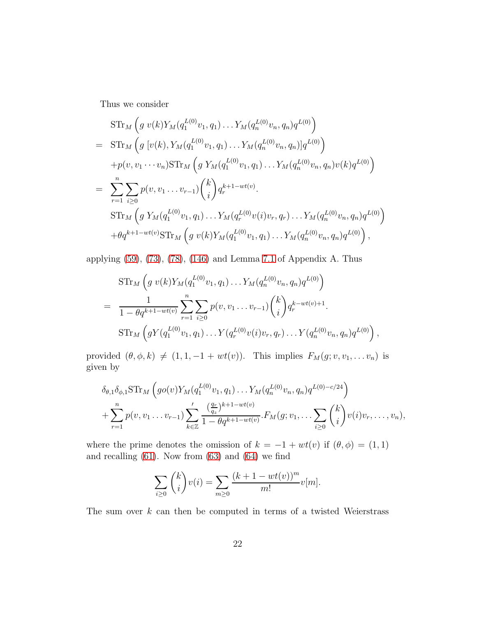Thus we consider

$$
\begin{split}\n&\text{STr}_{M}\left(g\ v(k)Y_{M}(q_{1}^{L(0)}v_{1},q_{1})\ldots Y_{M}(q_{n}^{L(0)}v_{n},q_{n})q^{L(0)}\right) \\
&= \text{STr}_{M}\left(g\ [v(k),Y_{M}(q_{1}^{L(0)}v_{1},q_{1})\ldots Y_{M}(q_{n}^{L(0)}v_{n},q_{n})]q^{L(0)}\right) \\
&\quad+ p(v,v_{1}\cdots v_{n})\text{STr}_{M}\left(g\ Y_{M}(q_{1}^{L(0)}v_{1},q_{1})\ldots Y_{M}(q_{n}^{L(0)}v_{n},q_{n})v(k)q^{L(0)}\right) \\
&= \sum_{r=1}^{n} \sum_{i\geq 0} p(v,v_{1}\ldots v_{r-1})\binom{k}{i}q_{r}^{k+1-wt(v)}.\n\end{split}
$$
\n
$$
\begin{split}\n&\text{STr}_{M}\left(g\ Y_{M}(q_{1}^{L(0)}v_{1},q_{1})\ldots Y_{M}(q_{r}^{L(0)}v(i)v_{r},q_{r})\ldots Y_{M}(q_{n}^{L(0)}v_{n},q_{n})q^{L(0)}\right) \\
&\quad+\theta q^{k+1-wt(v)}\text{STr}_{M}\left(g\ v(k)Y_{M}(q_{1}^{L(0)}v_{1},q_{1})\ldots Y_{M}(q_{n}^{L(0)}v_{n},q_{n})q^{L(0)}\right),\n\end{split}
$$

applying [\(59\)](#page-16-1), [\(73\)](#page-19-0), [\(78\)](#page-20-0), [\(146\)](#page-46-1) and Lemma [7.1](#page-46-2) of Appendix A. Thus

$$
\begin{split}\n&\text{STr}_M\left(g\ v(k)Y_M(q_1^{L(0)}v_1,q_1)\dots Y_M(q_n^{L(0)}v_n,q_n)q^{L(0)}\right) \\
&=\frac{1}{1-\theta q^{k+1-wt(v)}}\sum_{r=1}^n\sum_{i\geq 0}p(v,v_1\dots v_{r-1})\binom{k}{i}q_r^{k-wt(v)+1}.\n\end{split}
$$
\n
$$
\begin{split}\n&\text{STr}_M\left(gY(q_1^{L(0)}v_1,q_1)\dots Y(q_r^{L(0)}v(i)v_r,q_r)\dots Y(q_n^{L(0)}v_n,q_n)q^{L(0)}\right),\n\end{split}
$$

provided  $(\theta, \phi, k) \neq (1, 1, -1 + wt(v))$ . This implies  $F_M(g; v, v_1, \dots, v_n)$  is given by

$$
\delta_{\theta,1} \delta_{\phi,1} \text{STr}_M \left( g o(v) Y_M(q_1^{L(0)} v_1, q_1) \dots Y_M(q_n^{L(0)} v_n, q_n) q^{L(0)-c/24} \right) + \sum_{r=1}^n p(v, v_1 \dots v_{r-1}) \sum_{k \in \mathbb{Z}}' \frac{\left(\frac{q_r}{q_z}\right)^{k+1-wt(v)}}{1-\theta q^{k+1-wt(v)}} \cdot F_M(g; v_1, \dots, \sum_{i \geq 0} {k \choose i} v(i) v_r, \dots, v_n),
$$

where the prime denotes the omission of  $k = -1 + wt(v)$  if  $(\theta, \phi) = (1, 1)$ and recalling [\(61\)](#page-16-0). Now from [\(63\)](#page-16-3) and [\(64\)](#page-16-3) we find

$$
\sum_{i\geq 0} {k \choose i} v(i) = \sum_{m\geq 0} \frac{(k+1-wt(v))^m}{m!} v[m].
$$

The sum over  $k$  can then be computed in terms of a twisted Weierstrass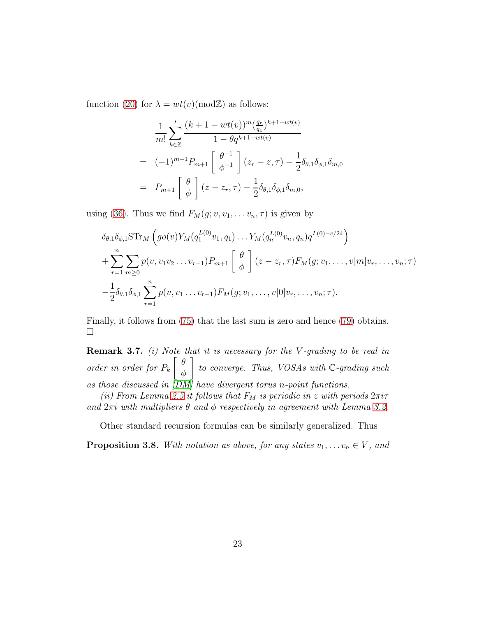function [\(20\)](#page-6-0) for  $\lambda = wt(v) \pmod{\mathbb{Z}}$  as follows:

$$
\frac{1}{m!} \sum_{k \in \mathbb{Z}}' \frac{(k+1-wt(v))^m (\frac{q_r}{q_z})^{k+1-wt(v)}}{1 - \theta q^{k+1-wt(v)}}
$$
\n
$$
= (-1)^{m+1} P_{m+1} \begin{bmatrix} \theta^{-1} \\ \phi^{-1} \end{bmatrix} (z_r - z, \tau) - \frac{1}{2} \delta_{\theta,1} \delta_{\phi,1} \delta_{m,0}
$$
\n
$$
= P_{m+1} \begin{bmatrix} \theta \\ \phi \end{bmatrix} (z - z_r, \tau) - \frac{1}{2} \delta_{\theta,1} \delta_{\phi,1} \delta_{m,0},
$$

using [\(36\)](#page-11-5). Thus we find  $F_M(g; v, v_1, \ldots v_n, \tau)$  is given by

$$
\delta_{\theta,1} \delta_{\phi,1} \text{STr}_M \left( g o(v) Y_M(q_1^{L(0)} v_1, q_1) \dots Y_M(q_n^{L(0)} v_n, q_n) q^{L(0)-c/24} \right) + \sum_{r=1}^n \sum_{m \ge 0} p(v, v_1 v_2 \dots v_{r-1}) P_{m+1} \left[ \begin{array}{c} \theta \\ \phi \end{array} \right] (z-z_r, \tau) F_M(g; v_1, \dots, v[m] v_r, \dots, v_n; \tau) - \frac{1}{2} \delta_{\theta,1} \delta_{\phi,1} \sum_{r=1}^n p(v, v_1 \dots v_{r-1}) F_M(g; v_1, \dots, v[0] v_r, \dots, v_n; \tau).
$$

Finally, it follows from [\(75\)](#page-19-1) that the last sum is zero and hence [\(79\)](#page-20-1) obtains.  $\Box$ 

**Remark 3.7.** (i) Note that it is necessary for the V-grading to be real in order in order for  $P_k$  $\left[\begin{array}{cc} \theta \end{array}\right]$ φ  $\bigg]$  to converge. Thus, VOSAs with  $\mathbb{C}\text{-}grading$  such as those discussed in  $\overline{[DM]}$  have divergent torus n-point functions.

(ii) From Lemma [2.5](#page-10-2) it follows that  $F_M$  is periodic in z with periods  $2\pi i\tau$ and  $2\pi i$  with multipliers  $\theta$  and  $\phi$  respectively in agreement with Lemma [3.2.](#page-18-1)

Other standard recursion formulas can be similarly generalized. Thus

**Proposition 3.8.** With notation as above, for any states  $v_1, \ldots, v_n \in V$ , and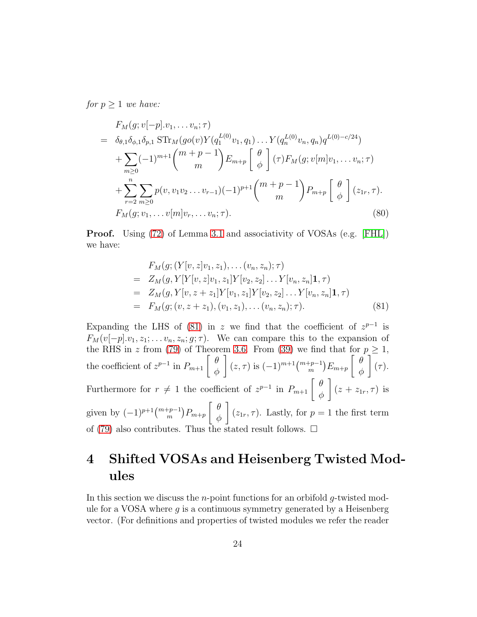for  $p \geq 1$  we have:

$$
F_M(g; v[-p].v_1, \ldots v_n; \tau)
$$
\n
$$
= \delta_{\theta,1} \delta_{\phi,1} \delta_{p,1} \operatorname{STr}_M(go(v)Y(q_1^{L(0)}v_1, q_1) \ldots Y(q_n^{L(0)}v_n, q_n)q^{L(0)-c/24})
$$
\n
$$
+ \sum_{m\geq 0} (-1)^{m+1} {m+p-1 \choose m} E_{m+p} \left[ \begin{array}{c} \theta \\ \phi \end{array} \right] (\tau) F_M(g; v[m]v_1, \ldots v_n; \tau)
$$
\n
$$
+ \sum_{r=2}^n \sum_{m\geq 0} p(v, v_1 v_2 \ldots v_{r-1}) (-1)^{p+1} {m+p-1 \choose m} P_{m+p} \left[ \begin{array}{c} \theta \\ \phi \end{array} \right] (z_{1r}, \tau).
$$
\n
$$
F_M(g; v_1, \ldots v[m]v_r, \ldots v_n; \tau).
$$
\n(80)

Proof. Using [\(72\)](#page-18-0) of Lemma [3.1](#page-18-2) and associativity of VOSAs (e.g. [\[FHL\]](#page-47-7)) we have:

<span id="page-23-0"></span>
$$
F_M(g; (Y[v, z]v_1, z_1), \dots (v_n, z_n); \tau)
$$
  
=  $Z_M(g, Y[Y[v, z]v_1, z_1]Y[v_2, z_2] \dots Y[v_n, z_n]1, \tau)$   
=  $Z_M(g, Y[v, z + z_1]Y[v_1, z_1]Y[v_2, z_2] \dots Y[v_n, z_n]1, \tau)$   
=  $F_M(g; (v, z + z_1), (v_1, z_1), \dots (v_n, z_n); \tau).$  (81)

Expanding the LHS of [\(81\)](#page-23-0) in z we find that the coefficient of  $z^{p-1}$  is  $F_M(v[-p].v_1, z_1; \ldots v_n, z_n; g; \tau)$ . We can compare this to the expansion of the RHS in z from [\(79\)](#page-20-1) of Theorem [3.6.](#page-20-2) From [\(39\)](#page-12-0) we find that for  $p \geq 1$ , the coefficient of  $z^{p-1}$  in  $P_{m+1} \left[ \begin{array}{c} \theta \\ \phi \end{array} \right]$ φ  $\Bigg( (z, \tau) \text{ is } (-1)^{m+1} \binom{m+p-1}{m} E_{m+p}$  $\int$   $\theta$ φ 1  $(\tau).$ Furthermore for  $r \neq 1$  the coefficient of  $z^{p-1}$  in  $P_{m+1} \begin{bmatrix} \theta \\ \phi \end{bmatrix}$ φ 1  $(z + z_{1r}, \tau)$  is given by  $(-1)^{p+1} \binom{m+p-1}{m} P_{m+p}$  θ φ 1  $(z_{1r}, \tau)$ . Lastly, for  $p = 1$  the first term of [\(79\)](#page-20-1) also contributes. Thus the stated result follows.  $\Box$ 

## <span id="page-23-1"></span>4 Shifted VOSAs and Heisenberg Twisted Modules

In this section we discuss the *n*-point functions for an orbifold  $q$ -twisted module for a VOSA where  $g$  is a continuous symmetry generated by a Heisenberg vector. (For definitions and properties of twisted modules we refer the reader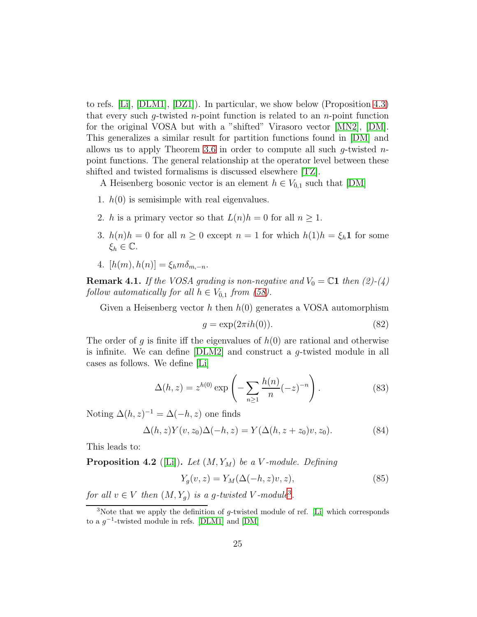to refs. [\[Li\]](#page-48-3), [\[DLM1\]](#page-47-0), [\[DZ1\]](#page-47-1)). In particular, we show below (Proposition [4.3\)](#page-26-0) that every such g-twisted n-point function is related to an n-point function for the original VOSA but with a "shifted" Virasoro vector [\[MN2\]](#page-48-4), [\[DM\]](#page-47-3). This generalizes a similar result for partition functions found in [\[DM\]](#page-47-3) and allows us to apply Theorem [3.6](#page-20-2) in order to compute all such g-twisted  $n$ point functions. The general relationship at the operator level between these shifted and twisted formalisms is discussed elsewhere [\[TZ\]](#page-49-7).

A Heisenberg bosonic vector is an element  $h \in V_{0,1}$  such that [\[DM\]](#page-47-3)

- 1.  $h(0)$  is semisimple with real eigenvalues.
- 2. h is a primary vector so that  $L(n)h = 0$  for all  $n \geq 1$ .
- 3.  $h(n)h = 0$  for all  $n \geq 0$  except  $n = 1$  for which  $h(1)h = \xi_h \mathbf{1}$  for some  $\xi_h \in \mathbb{C}$ .
- 4.  $[h(m), h(n)] = \xi_h m \delta_{m-n}$ .

**Remark 4.1.** If the VOSA grading is non-negative and  $V_0 = \mathbb{C}1$  then (2)-(4) follow automatically for all  $h \in V_{\bar{0},1}$  from [\(58\)](#page-16-2).

Given a Heisenberg vector h then  $h(0)$  generates a VOSA automorphism

$$
g = \exp(2\pi i h(0)).\tag{82}
$$

The order of g is finite iff the eigenvalues of  $h(0)$  are rational and otherwise is infinite. We can define  $[DLM2]$  and construct a *q*-twisted module in all cases as follows. We define [\[Li\]](#page-48-3)

<span id="page-24-1"></span>
$$
\Delta(h, z) = z^{h(0)} \exp\left(-\sum_{n\geq 1} \frac{h(n)}{n} (-z)^{-n}\right).
$$
 (83)

Noting  $\Delta(h, z)^{-1} = \Delta(-h, z)$  one finds

$$
\Delta(h,z)Y(v,z_0)\Delta(-h,z) = Y(\Delta(h,z+z_0)v,z_0). \tag{84}
$$

This leads to:

**Proposition 4.2** ([\[Li\]](#page-48-3)). Let  $(M, Y_M)$  be a V-module. Defining

<span id="page-24-2"></span>
$$
Y_g(v, z) = Y_M(\Delta(-h, z)v, z),\tag{85}
$$

for all  $v \in V$  then  $(M, Y_g)$  is a g-twisted V-module<sup>[3](#page-24-0)</sup>.

<span id="page-24-0"></span><sup>&</sup>lt;sup>3</sup>Note that we apply the definition of  $q$ -twisted module of ref. [\[Li\]](#page-48-3) which corresponds to a  $g^{-1}$ -twisted module in refs. [\[DLM1\]](#page-47-0) and [\[DM\]](#page-47-3)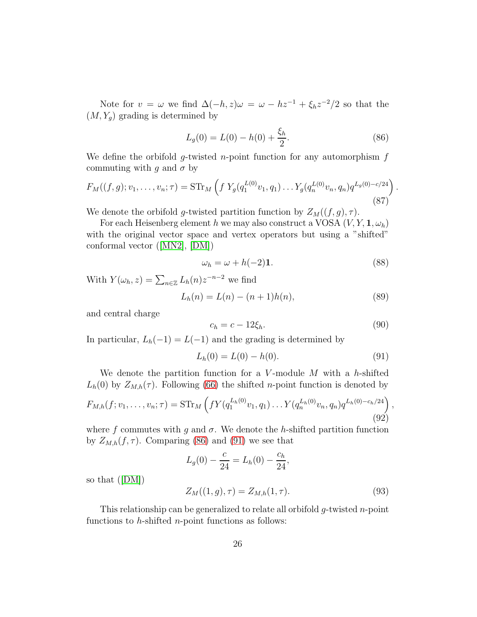Note for  $v = \omega$  we find  $\Delta(-h, z)\omega = \omega - h z^{-1} + \xi_h z^{-2}/2$  so that the  $(M, Y_q)$  grading is determined by

<span id="page-25-0"></span>
$$
L_g(0) = L(0) - h(0) + \frac{\xi_h}{2}.
$$
\n(86)

We define the orbifold g-twisted n-point function for any automorphism  $f$ commuting with g and  $\sigma$  by

$$
F_M((f,g); v_1, \dots, v_n; \tau) = \mathrm{STr}_M \left( f \ Y_g(q_1^{L(0)} v_1, q_1) \dots Y_g(q_n^{L(0)} v_n, q_n) q^{L_g(0) - c/24} \right)
$$
\n(87)

We denote the orbifold g-twisted partition function by  $Z_M((f, g), \tau)$ .

For each Heisenberg element h we may also construct a VOSA  $(V, Y, \mathbf{1}, \omega_h)$ with the original vector space and vertex operators but using a "shifted" conformal vector([\[MN2\]](#page-48-4), [\[DM\]](#page-47-3))

<span id="page-25-2"></span>
$$
\omega_h = \omega + h(-2)\mathbf{1}.\tag{88}
$$

.

With  $Y(\omega_h, z) = \sum_{n \in \mathbb{Z}} L_h(n) z^{-n-2}$  we find

$$
L_h(n) = L(n) - (n+1)h(n),
$$
\n(89)

and central charge

<span id="page-25-3"></span>
$$
c_h = c - 12\xi_h. \tag{90}
$$

In particular,  $L_h(-1) = L(-1)$  and the grading is determined by

<span id="page-25-1"></span>
$$
L_h(0) = L(0) - h(0). \tag{91}
$$

We denote the partition function for a V-module  $M$  with a h-shifted  $L_h(0)$  by  $Z_{M,h}(\tau)$ . Following [\(66\)](#page-17-1) the shifted *n*-point function is denoted by

$$
F_{M,h}(f;v_1,\ldots,v_n;\tau) = \mathrm{STr}_M\left(fY(q_1^{L_h(0)}v_1,q_1)\ldots Y(q_n^{L_h(0)}v_n,q_n)q^{L_h(0)-c_h/24}\right),\tag{92}
$$

where f commutes with g and  $\sigma$ . We denote the h-shifted partition function by  $Z_{M,h}(f,\tau)$ . Comparing [\(86\)](#page-25-0) and [\(91\)](#page-25-1) we see that

$$
L_g(0) - \frac{c}{24} = L_h(0) - \frac{c_h}{24},
$$

so that([\[DM\]](#page-47-3))

$$
Z_M((1,g),\tau) = Z_{M,h}(1,\tau). \tag{93}
$$

This relationship can be generalized to relate all orbifold  $g$ -twisted n-point functions to  $h$ -shifted  $n$ -point functions as follows: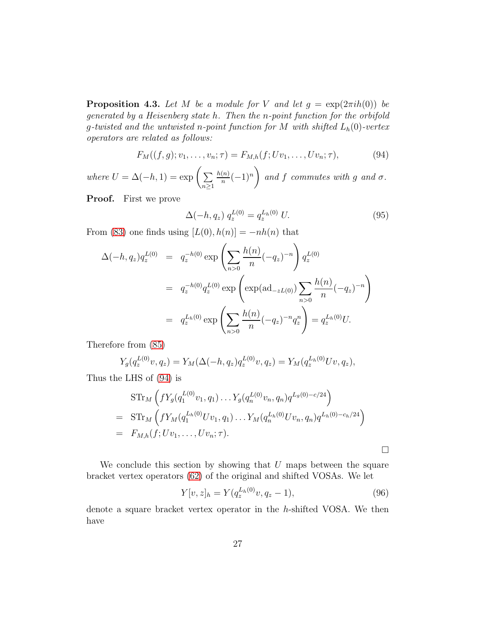<span id="page-26-0"></span>**Proposition 4.3.** Let M be a module for V and let  $g = \exp(2\pi i h(0))$  be generated by a Heisenberg state h. Then the n-point function for the orbifold g-twisted and the untwisted n-point function for M with shifted  $L_h(0)$ -vertex operators are related as follows:

<span id="page-26-1"></span>
$$
F_M((f,g);v_1,\ldots,v_n;\tau) = F_{M,h}(f;Uv_1,\ldots,Uv_n;\tau),
$$
\n(94)

where  $U = \Delta(-h, 1) = \exp\left(\sum_{n=1}^{\infty}$  $n\geq 1$  $h(n)$  $\frac{(n)}{n}(-1)^n$ and f commutes with g and  $\sigma$ .

Proof. First we prove

<span id="page-26-2"></span>
$$
\Delta(-h, q_z) q_z^{L(0)} = q_z^{L_h(0)} U.
$$
\n(95)

From [\(83\)](#page-24-1) one finds using  $[L(0), h(n)] = -nh(n)$  that

$$
\Delta(-h, q_z) q_z^{L(0)} = q_z^{-h(0)} \exp\left(\sum_{n>0} \frac{h(n)}{n} (-q_z)^{-n}\right) q_z^{L(0)}
$$
  

$$
= q_z^{-h(0)} q_z^{L(0)} \exp\left(\exp(\mathrm{ad}_{-zL(0)}) \sum_{n>0} \frac{h(n)}{n} (-q_z)^{-n}\right)
$$
  

$$
= q_z^{L_h(0)} \exp\left(\sum_{n>0} \frac{h(n)}{n} (-q_z)^{-n} q_z^n\right) = q_z^{L_h(0)} U.
$$

Therefore from [\(85\)](#page-24-2)

$$
Y_g(q_z^{L(0)}v, q_z) = Y_M(\Delta(-h, q_z)q_z^{L(0)}v, q_z) = Y_M(q_z^{L_h(0)}Uv, q_z),
$$

Thus the LHS of [\(94\)](#page-26-1) is

$$
\begin{split}\n&\text{STr}_M\left(fY_g(q_1^{L(0)}v_1, q_1)\dots Y_g(q_n^{L(0)}v_n, q_n)q^{L_g(0)-c/24}\right) \\
&=\text{STr}_M\left(fY_M(q_1^{L_h(0)}Uv_1, q_1)\dots Y_M(q_n^{L_h(0)}Uv_n, q_n)q^{L_h(0)-c_h/24}\right) \\
&=\text{F}_{M,h}(f; Uv_1, \dots, Uv_n; \tau).\n\end{split}
$$

We conclude this section by showing that  $U$  maps between the square bracket vertex operators [\(62\)](#page-16-4) of the original and shifted VOSAs. We let

$$
Y[v, z]_h = Y(q_z^{L_h(0)}v, q_z - 1),
$$
\n(96)

denote a square bracket vertex operator in the h-shifted VOSA. We then have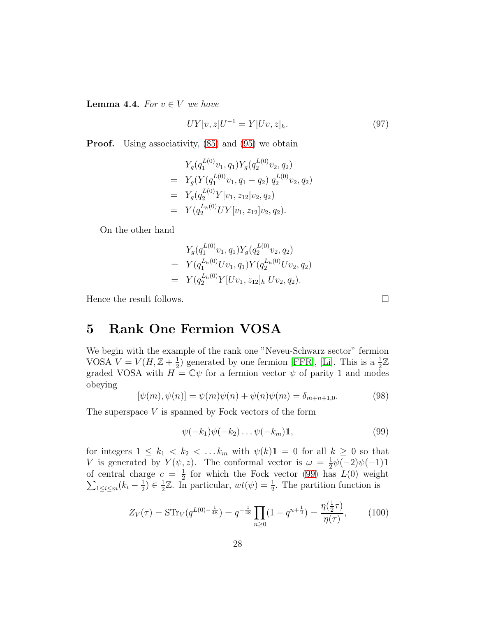<span id="page-27-2"></span>**Lemma 4.4.** For  $v \in V$  we have

$$
UY[v, z]U^{-1} = Y[Uv, z]_h.
$$
\n(97)

**Proof.** Using associativity,  $(85)$  and  $(95)$  we obtain

$$
Y_g(q_1^{L(0)}v_1, q_1)Y_g(q_2^{L(0)}v_2, q_2)
$$
  
=  $Y_g(Y(q_1^{L(0)}v_1, q_1 - q_2) q_2^{L(0)}v_2, q_2)$   
=  $Y_g(q_2^{L(0)}Y[v_1, z_{12}]v_2, q_2)$   
=  $Y(q_2^{L_h(0)}UY[v_1, z_{12}]v_2, q_2).$ 

On the other hand

$$
Y_g(q_1^{L(0)}v_1, q_1)Y_g(q_2^{L(0)}v_2, q_2)
$$
  
=  $Y(q_1^{L_h(0)}Uv_1, q_1)Y(q_2^{L_h(0)}Uv_2, q_2)$   
=  $Y(q_2^{L_h(0)}Y[Uv_1, z_{12}]_h Uv_2, q_2).$ 

Hence the result follows.  $\Box$ 

### 5 Rank One Fermion VOSA

We begin with the example of the rank one "Neveu-Schwarz sector" fermion VOSA  $V = V(H, \mathbb{Z} + \frac{1}{2})$  $\frac{1}{2}$ ) generated by one fermion [\[FFR\]](#page-47-9), [\[Li\]](#page-48-3). This is a  $\frac{1}{2}\mathbb{Z}$ graded VOSA with  $H = \mathbb{C}\psi$  for a fermion vector  $\psi$  of parity 1 and modes obeying

<span id="page-27-1"></span>
$$
[\psi(m), \psi(n)] = \psi(m)\psi(n) + \psi(n)\psi(m) = \delta_{m+n+1,0}.
$$
\n(98)

The superspace  $V$  is spanned by Fock vectors of the form

<span id="page-27-0"></span>
$$
\psi(-k_1)\psi(-k_2)\ldots\psi(-k_m)\mathbf{1},\tag{99}
$$

for integers  $1 \leq k_1 < k_2 < \dots k_m$  with  $\psi(k)$ **1** = 0 for all  $k \geq 0$  so that V is generated by  $Y(\psi, z)$ . The conformal vector is  $\omega = \frac{1}{2}$  $\frac{1}{2}\psi(-2)\psi(-1)$ **1** of central charge  $c = \frac{1}{2}$  $\frac{1}{2}$  for which the Fock vector [\(99\)](#page-27-0) has  $L(0)$  weight  $\sum_{1\leq i\leq m}(k_i-\frac{1}{2})$  $(\frac{1}{2}) \in \frac{1}{2}$  $\frac{1}{2}\mathbb{Z}$ . In particular,  $wt(\psi) = \frac{1}{2}$ . The partition function is

$$
Z_V(\tau) = \text{STr}_V(q^{L(0) - \frac{1}{48}}) = q^{-\frac{1}{48}} \prod_{n \ge 0} (1 - q^{n + \frac{1}{2}}) = \frac{\eta(\frac{1}{2}\tau)}{\eta(\tau)},\tag{100}
$$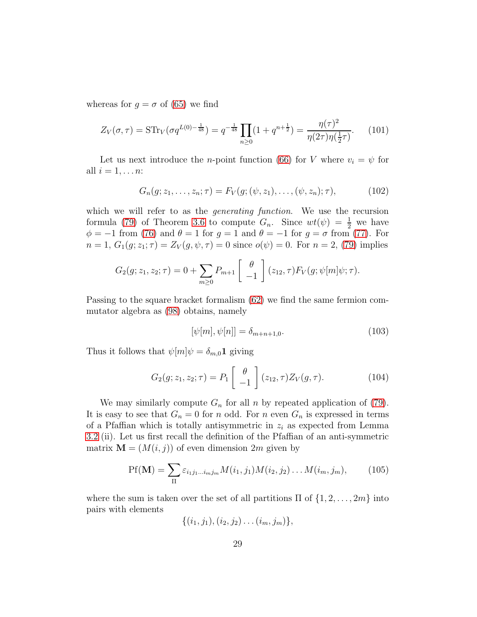whereas for  $g = \sigma$  of [\(65\)](#page-17-3) we find

$$
Z_V(\sigma,\tau) = \text{STr}_V(\sigma q^{L(0)-\frac{1}{48}}) = q^{-\frac{1}{48}} \prod_{n\geq 0} (1+q^{n+\frac{1}{2}}) = \frac{\eta(\tau)^2}{\eta(2\tau)\eta(\frac{1}{2}\tau)}.
$$
 (101)

Let us next introduce the *n*-point function [\(66\)](#page-17-1) for V where  $v_i = \psi$  for all  $i = 1, \ldots n$ :

$$
G_n(g; z_1, \ldots, z_n; \tau) = F_V(g; (\psi, z_1), \ldots, (\psi, z_n); \tau), \tag{102}
$$

which we will refer to as the *generating function*. We use the recursion formula [\(79\)](#page-20-1) of Theorem [3.6](#page-20-2) to compute  $G_n$ . Since  $wt(\psi) = \frac{1}{2}$  we have  $\phi = -1$  from [\(76\)](#page-20-3) and  $\theta = 1$  for  $g = 1$  and  $\theta = -1$  for  $g = \sigma$  from [\(77\)](#page-20-4). For  $n = 1, G_1(g; z_1; \tau) = Z_V(g, \psi, \tau) = 0$  since  $o(\psi) = 0$ . For  $n = 2$ , [\(79\)](#page-20-1) implies

$$
G_2(g; z_1, z_2; \tau) = 0 + \sum_{m \geq 0} P_{m+1} \begin{bmatrix} \theta \\ -1 \end{bmatrix} (z_{12}, \tau) F_V(g; \psi[m] \psi; \tau).
$$

Passing to the square bracket formalism [\(62\)](#page-16-4) we find the same fermion commutator algebra as [\(98\)](#page-27-1) obtains, namely

$$
[\psi[m], \psi[n]] = \delta_{m+n+1,0}.\tag{103}
$$

Thus it follows that  $\psi[m]\psi = \delta_{m,0} \mathbf{1}$  giving

<span id="page-28-0"></span>
$$
G_2(g; z_1, z_2; \tau) = P_1 \begin{bmatrix} \theta \\ -1 \end{bmatrix} (z_{12}, \tau) Z_V(g, \tau).
$$
 (104)

We may similarly compute  $G_n$  for all n by repeated application of [\(79\)](#page-20-1). It is easy to see that  $G_n = 0$  for n odd. For n even  $G_n$  is expressed in terms of a Pfaffian which is totally antisymmetric in  $z_i$  as expected from Lemma [3.2](#page-18-1) (ii). Let us first recall the definition of the Pfaffian of an anti-symmetric matrix  $\mathbf{M} = (M(i, j))$  of even dimension  $2m$  given by

<span id="page-28-1"></span>
$$
Pf(\mathbf{M}) = \sum_{\Pi} \varepsilon_{i_1 j_1 \dots i_m j_m} M(i_1, j_1) M(i_2, j_2) \dots M(i_m, j_m), \qquad (105)
$$

where the sum is taken over the set of all partitions  $\Pi$  of  $\{1, 2, \ldots, 2m\}$  into pairs with elements

$$
\{(i_1,j_1),(i_2,j_2)\ldots(i_m,j_m)\},\
$$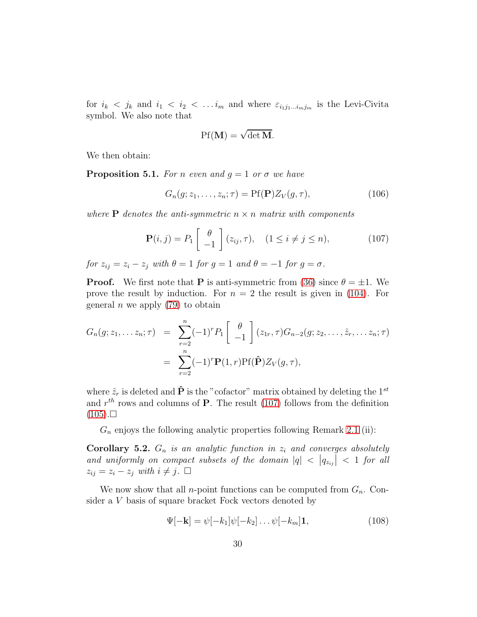for  $i_k < j_k$  and  $i_1 < i_2 < \ldots i_m$  and where  $\varepsilon_{i_1j_1\ldots i_mj_m}$  is the Levi-Civita symbol. We also note that

$$
\mathrm{Pf}(\mathbf{M}) = \sqrt{\det \mathbf{M}}.
$$

We then obtain:

<span id="page-29-2"></span>**Proposition 5.1.** For n even and  $g = 1$  or  $\sigma$  we have

<span id="page-29-1"></span>
$$
G_n(g; z_1, \dots, z_n; \tau) = \text{Pf}(\mathbf{P}) Z_V(g, \tau), \tag{106}
$$

where **P** denotes the anti-symmetric  $n \times n$  matrix with components

<span id="page-29-0"></span>
$$
\mathbf{P}(i,j) = P_1 \left[ \begin{array}{c} \theta \\ -1 \end{array} \right] (z_{ij}, \tau), \quad (1 \le i \ne j \le n), \tag{107}
$$

for  $z_{ij} = z_i - z_j$  with  $\theta = 1$  for  $g = 1$  and  $\theta = -1$  for  $g = \sigma$ .

**Proof.** We first note that **P** is anti-symmetric from [\(36\)](#page-11-5) since  $\theta = \pm 1$ . We prove the result by induction. For  $n = 2$  the result is given in [\(104\)](#page-28-0). For general *n* we apply  $(79)$  to obtain

$$
G_n(g; z_1, \ldots z_n; \tau) = \sum_{r=2}^n (-1)^r P_1 \begin{bmatrix} \theta \\ -1 \end{bmatrix} (z_{1r}, \tau) G_{n-2}(g; z_2, \ldots, \hat{z}_r, \ldots z_n; \tau)
$$
  
= 
$$
\sum_{r=2}^n (-1)^r \mathbf{P}(1, r) \mathbf{P} f(\hat{\mathbf{P}}) Z_V(g, \tau),
$$

where  $\hat{z}_r$  is deleted and  $\hat{P}$  is the "cofactor" matrix obtained by deleting the  $1^{st}$ and  $r^{th}$  rows and columns of **P**. The result [\(107\)](#page-29-0) follows from the definition  $(105). \square$  $(105). \square$ 

 $G_n$  enjoys the following analytic properties following Remark [2.1](#page-6-2) (ii):

<span id="page-29-3"></span>**Corollary 5.2.**  $G_n$  is an analytic function in  $z_i$  and converges absolutely and uniformly on compact subsets of the domain  $|q| < |q_{z_{ij}}| < 1$  for all  $z_{ij} = z_i - z_j$  with  $i \neq j$ .  $\Box$ 

We now show that all *n*-point functions can be computed from  $G_n$ . Consider a V basis of square bracket Fock vectors denoted by

$$
\Psi[-\mathbf{k}] = \psi[-k_1]\psi[-k_2] \dots \psi[-k_m]\mathbf{1},\tag{108}
$$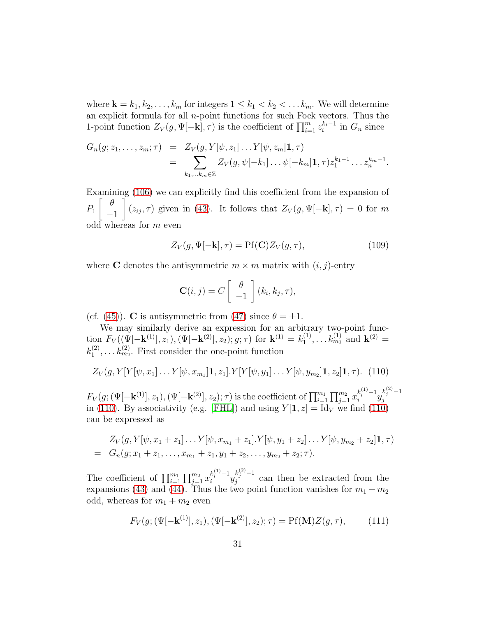where  $\mathbf{k} = k_1, k_2, \ldots, k_m$  for integers  $1 \leq k_1 < k_2 < \ldots k_m$ . We will determine an explicit formula for all  $n$ -point functions for such Fock vectors. Thus the 1-point function  $Z_V(g, \Psi[-\mathbf{k}], \tau)$  is the coefficient of  $\prod_{i=1}^m z_i^{k_i-1}$  in  $G_n$  since

$$
G_n(g; z_1, \ldots, z_m; \tau) = Z_V(g, Y[\psi, z_1] \ldots Y[\psi, z_m] \mathbf{1}, \tau)
$$
  
= 
$$
\sum_{k_1, \ldots k_m \in \mathbb{Z}} Z_V(g, \psi[-k_1] \ldots \psi[-k_m] \mathbf{1}, \tau) z_1^{k_1 - 1} \ldots z_n^{k_m - 1}.
$$

Examining [\(106\)](#page-29-1) we can explicitly find this coefficient from the expansion of  $P_1$  $\left[\begin{array}{cc} \theta \end{array}\right]$ −1 1  $(z_{ij}, \tau)$  given in [\(43\)](#page-13-2). It follows that  $Z_V(g, \Psi[-\mathbf{k}], \tau) = 0$  for m odd whereas for m even

$$
Z_V(g, \Psi[-\mathbf{k}], \tau) = \text{Pf}(\mathbf{C}) Z_V(g, \tau), \tag{109}
$$

where **C** denotes the antisymmetric  $m \times m$  matrix with  $(i, j)$ -entry

$$
\mathbf{C}(i,j) = C \left[ \begin{array}{c} \theta \\ -1 \end{array} \right] (k_i, k_j, \tau),
$$

(cf. [\(45\)](#page-13-3)). **C** is antisymmetric from [\(47\)](#page-14-0) since  $\theta = \pm 1$ .

We may similarly derive an expression for an arbitrary two-point function  $F_V((\Psi[-\mathbf{k}^{(1)}], z_1), (\Psi[-\mathbf{k}^{(2)}], z_2); g; \tau)$  for  $\mathbf{k}^{(1)} = k_1^{(1)}$  $k_1^{(1)}, \ldots k_{m_1}^{(1)}$  and  $\mathbf{k}^{(2)} =$  $k_1^{(2)}$  $t_1^{(2)}, \ldots t_{m_2}^{(2)}$ . First consider the one-point function

<span id="page-30-0"></span>
$$
Z_V(g, Y[Y[\psi, x_1] \dots Y[\psi, x_{m_1}]\mathbf{1}, z_1].Y[Y[\psi, y_1] \dots Y[\psi, y_{m_2}]\mathbf{1}, z_2]\mathbf{1}, \tau). (110)
$$

 $F_V(g;(\Psi[-\mathbf{k}^{(1)}],z_1),(\Psi[-\mathbf{k}^{(2)}],z_2);\tau)$  is the coefficient of  $\prod_{i=1}^{m_1}\prod_{j=1}^{m_2}x_i^{k_i^{(1)}-1}y_j^{k_j^{(2)}-1}$ j in [\(110\)](#page-30-0). By associativity (e.g. [\[FHL\]](#page-47-7)) and using  $Y[\mathbf{1}, z] = \text{Id}_V$  we find (110) can be expressed as

$$
Z_V(g, Y[\psi, x_1 + z_1] \dots Y[\psi, x_{m_1} + z_1]. Y[\psi, y_1 + z_2] \dots Y[\psi, y_{m_2} + z_2] \mathbf{1}, \tau)
$$
  
=  $G_n(g; x_1 + z_1, \dots, x_{m_1} + z_1, y_1 + z_2, \dots, y_{m_2} + z_2; \tau).$ 

The coefficient of  $\prod_{i=1}^{m_1} \prod_{j=1}^{m_2} x_i^{k_i^{(1)}-1} y_j^{k_j^{(2)}-1}$  $j^{n_j}$  can then be extracted from the expansions [\(43\)](#page-13-2) and [\(44\)](#page-13-2). Thus the two point function vanishes for  $m_1 + m_2$ odd, whereas for  $m_1 + m_2$  even

$$
F_V(g; (\Psi[-\mathbf{k}^{(1)}], z_1), (\Psi[-\mathbf{k}^{(2)}], z_2); \tau) = \text{Pf}(\mathbf{M})Z(g, \tau), \quad (111)
$$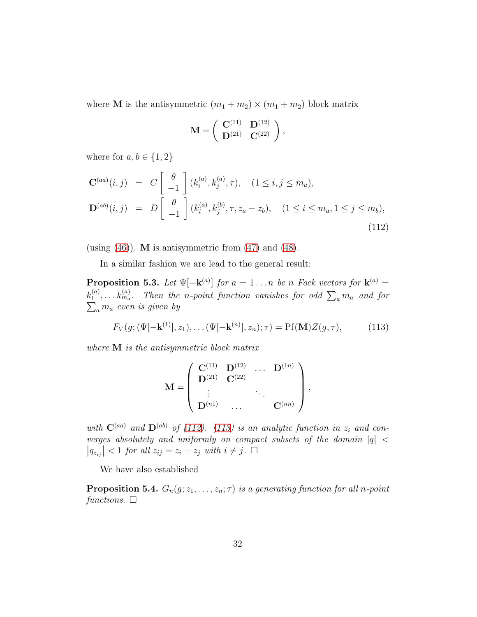where **M** is the antisymmetric  $(m_1 + m_2) \times (m_1 + m_2)$  block matrix

$$
\mathbf{M} = \left( \begin{array}{cc} \mathbf{C}^{(11)} & \mathbf{D}^{(12)} \\ \mathbf{D}^{(21)} & \mathbf{C}^{(22)} \end{array} \right),
$$

where for  $a, b \in \{1, 2\}$ 

<span id="page-31-0"></span>
$$
\mathbf{C}^{(aa)}(i,j) = C \begin{bmatrix} \theta \\ -1 \end{bmatrix} (k_i^{(a)}, k_j^{(a)}, \tau), \quad (1 \le i, j \le m_a),
$$
  

$$
\mathbf{D}^{(ab)}(i,j) = D \begin{bmatrix} \theta \\ -1 \end{bmatrix} (k_i^{(a)}, k_j^{(b)}, \tau, z_a - z_b), \quad (1 \le i \le m_a, 1 \le j \le m_b),
$$
  
(112)

(using  $(46)$ ). M is antisymmetric from  $(47)$  and  $(48)$ .

In a similar fashion we are lead to the general result:

<span id="page-31-2"></span>**Proposition 5.3.** Let  $\Psi[-\mathbf{k}^{(a)}]$  for  $a = 1...n$  be n Fock vectors for  $\mathbf{k}^{(a)} =$  $k_1^{(a)}$  $k_1^{(a)}, \ldots k_{m_a}^{(a)}$ . Then the n-point function vanishes for odd  $\sum_a m_a$  and for  $\sum_a m_a$  even is given by  $\sum_a m_a$  even is given by

<span id="page-31-1"></span>
$$
F_V(g; (\Psi[-\mathbf{k}^{(1)}], z_1), \dots (\Psi[-\mathbf{k}^{(n)}], z_n); \tau) = \text{Pf}(\mathbf{M}) Z(g, \tau), \tag{113}
$$

where M is the antisymmetric block matrix

$$
\mathbf{M} = \left( \begin{array}{ccc} \mathbf{C}^{(11)} & \mathbf{D}^{(12)} & \ldots & \mathbf{D}^{(1n)} \\ \mathbf{D}^{(21)} & \mathbf{C}^{(22)} & & \\ \vdots & & \ddots & \\ \mathbf{D}^{(n1)} & \ldots & & \mathbf{C}^{(nn)} \end{array} \right),
$$

with  $\mathbf{C}^{(aa)}$  and  $\mathbf{D}^{(ab)}$  of [\(112\)](#page-31-0). [\(113\)](#page-31-1) is an analytic function in  $z_i$  and converges absolutely and uniformly on compact subsets of the domain  $|q|$  <  $|q_{z_{ij}}| < 1$  for all  $z_{ij} = z_i - z_j$  with  $i \neq j$ .  $\Box$ 

We have also established

**Proposition 5.4.**  $G_n(g; z_1, \ldots, z_n; \tau)$  is a generating function for all n-point functions.  $\Box$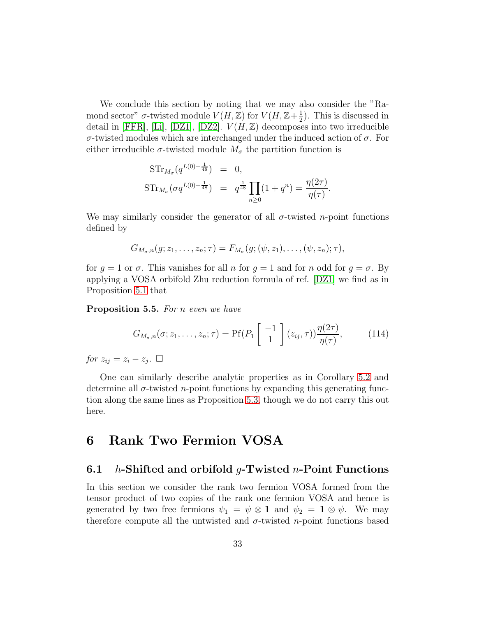We conclude this section by noting that we may also consider the "Ramond sector"  $\sigma$ -twisted module  $V(H,\mathbb{Z})$  for  $V(H,\mathbb{Z}+\frac{1}{2})$  $(\frac{1}{2})$ . This is discussed in detail in [\[FFR\]](#page-47-9), [\[Li\]](#page-48-3), [\[DZ1\]](#page-47-1), [\[DZ2\]](#page-47-2).  $V(H,\mathbb{Z})$  decomposes into two irreducible σ-twisted modules which are interchanged under the induced action of σ. For either irreducible  $\sigma$ -twisted module  $M_{\sigma}$  the partition function is

$$
STr_{M_{\sigma}}(q^{L(0)-\frac{1}{48}}) = 0,
$$
  
\n
$$
STr_{M_{\sigma}}(\sigma q^{L(0)-\frac{1}{48}}) = q^{\frac{1}{48}} \prod_{n\geq 0} (1+q^n) = \frac{\eta(2\tau)}{\eta(\tau)}.
$$

We may similarly consider the generator of all  $\sigma$ -twisted *n*-point functions defined by

$$
G_{M_{\sigma},n}(g; z_1,\ldots,z_n;\tau)=F_{M_{\sigma}}(g; (\psi,z_1),\ldots,(\psi,z_n);\tau),
$$

for  $g = 1$  or  $\sigma$ . This vanishes for all n for  $g = 1$  and for n odd for  $g = \sigma$ . By applying a VOSA orbifold Zhu reduction formula of ref. [\[DZ1\]](#page-47-1) we find as in Proposition [5.1](#page-29-2) that

Proposition 5.5. For *n* even we have

<span id="page-32-0"></span>
$$
G_{M_{\sigma},n}(\sigma;z_1,\ldots,z_n;\tau) = \text{Pf}(P_1\left[\begin{array}{c} -1\\1 \end{array}\right](z_{ij},\tau))\frac{\eta(2\tau)}{\eta(\tau)},\qquad(114)
$$

for  $z_{ij} = z_i - z_j$ .  $\Box$ 

One can similarly describe analytic properties as in Corollary [5.2](#page-29-3) and determine all  $\sigma$ -twisted *n*-point functions by expanding this generating function along the same lines as Proposition [5.3,](#page-31-2) though we do not carry this out here.

### 6 Rank Two Fermion VOSA

#### 6.1 *h*-Shifted and orbifold *q*-Twisted *n*-Point Functions

In this section we consider the rank two fermion VOSA formed from the tensor product of two copies of the rank one fermion VOSA and hence is generated by two free fermions  $\psi_1 = \psi \otimes \mathbf{1}$  and  $\psi_2 = \mathbf{1} \otimes \psi$ . We may therefore compute all the untwisted and  $\sigma$ -twisted n-point functions based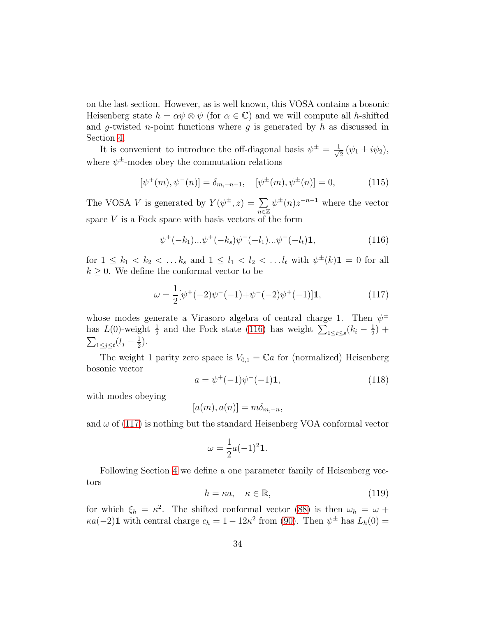on the last section. However, as is well known, this VOSA contains a bosonic Heisenberg state  $h = \alpha \psi \otimes \psi$  (for  $\alpha \in \mathbb{C}$ ) and we will compute all h-shifted and g-twisted n-point functions where g is generated by h as discussed in Section [4.](#page-23-1)

It is convenient to introduce the off-diagonal basis  $\psi^{\pm} = \frac{1}{\sqrt{2}}$  $\frac{1}{2}(\psi_1 \pm i\psi_2),$ where  $\psi^{\pm}$ -modes obey the commutation relations

<span id="page-33-2"></span>
$$
[\psi^+(m), \psi^-(n)] = \delta_{m,-n-1}, \quad [\psi^{\pm}(m), \psi^{\pm}(n)] = 0,\tag{115}
$$

The VOSA V is generated by  $Y(\psi^{\pm}, z) = \sum$  $\overline{n \in \mathbb{Z}}$  $\psi^{\pm}(n)z^{-n-1}$  where the vector space  $V$  is a Fock space with basis vectors of the form

<span id="page-33-0"></span>
$$
\psi^+(-k_1)\dots\psi^+(-k_s)\psi^-(-l_1)\dots\psi^-(-l_t)\mathbf{1},\tag{116}
$$

for  $1 \leq k_1 < k_2 < \dots k_s$  and  $1 \leq l_1 < l_2 < \dots l_t$  with  $\psi^{\pm}(k) \mathbf{1} = 0$  for all  $k \geq 0$ . We define the conformal vector to be

<span id="page-33-1"></span>
$$
\omega = \frac{1}{2} [\psi^+(-2)\psi^-(-1) + \psi^-(-2)\psi^+(-1)]\mathbf{1},\tag{117}
$$

whose modes generate a Virasoro algebra of central charge 1. Then  $\psi^{\pm}$ has  $L(0)$ -weight  $\frac{1}{2}$  and the Fock state [\(116\)](#page-33-0) has weight  $\sum_{1 \leq i \leq s} (k_i - \frac{1}{2})$  $(\frac{1}{2}) +$  $\sum_{1\leq j\leq t}(l_j-\frac{1}{2})$  $(\frac{1}{2})$ .

The weight 1 parity zero space is  $V_{0,1} = \mathbb{C}a$  for (normalized) Heisenberg bosonic vector

<span id="page-33-3"></span>
$$
a = \psi^+(-1)\psi^-(-1)\mathbf{1},\tag{118}
$$

with modes obeying

$$
[a(m), a(n)] = m\delta_{m,-n},
$$

and  $\omega$  of [\(117\)](#page-33-1) is nothing but the standard Heisenberg VOA conformal vector

$$
\omega = \frac{1}{2}a(-1)^2\mathbf{1}.
$$

Following Section [4](#page-23-1) we define a one parameter family of Heisenberg vectors

<span id="page-33-4"></span>
$$
h = \kappa a, \quad \kappa \in \mathbb{R},\tag{119}
$$

for which  $\xi_h = \kappa^2$ . The shifted conformal vector [\(88\)](#page-25-2) is then  $\omega_h = \omega + \frac{1}{2}$  $\kappa a(-2)$ **1** with central charge  $c_h = 1 - 12\kappa^2$  from [\(90\)](#page-25-3). Then  $\psi^{\pm}$  has  $L_h(0) =$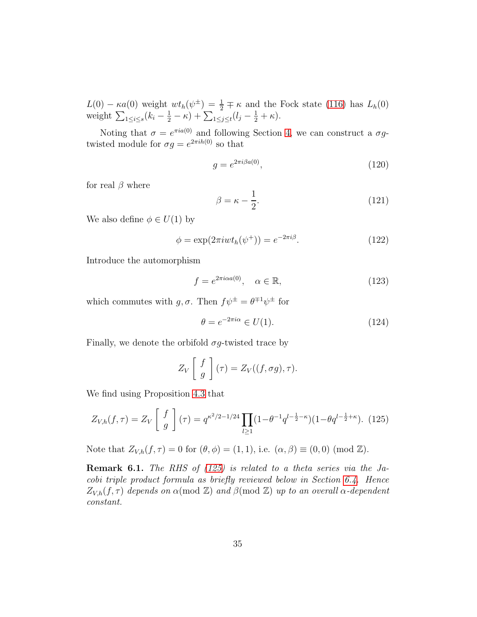$L(0) - \kappa a(0)$  weight  $wt_h(\psi^{\pm}) = \frac{1}{2} \mp \kappa$  and the Fock state [\(116\)](#page-33-0) has  $L_h(0)$ weight  $\sum_{1 \leq i \leq s} (k_i - \frac{1}{2} - \kappa) + \sum_{1 \leq j \leq t} (l_j - \frac{1}{2} + \kappa).$ 

Noting that  $\sigma = e^{\pi i a(0)}$  and following Section [4,](#page-23-1) we can construct a  $\sigma g$ twisted module for  $\sigma g = e^{2\pi i h(0)}$  so that

$$
g = e^{2\pi i \beta a(0)},\tag{120}
$$

for real  $\beta$  where

<span id="page-34-4"></span>
$$
\beta = \kappa - \frac{1}{2}.\tag{121}
$$

We also define  $\phi \in U(1)$  by

<span id="page-34-2"></span>
$$
\phi = \exp(2\pi i w t_h(\psi^+)) = e^{-2\pi i \beta}.
$$
\n(122)

Introduce the automorphism

$$
f = e^{2\pi i \alpha a(0)}, \quad \alpha \in \mathbb{R}, \tag{123}
$$

which commutes with  $g, \sigma$ . Then  $f\psi^{\pm} = \theta^{\mp 1}\psi^{\pm}$  for

<span id="page-34-1"></span>
$$
\theta = e^{-2\pi i \alpha} \in U(1). \tag{124}
$$

Finally, we denote the orbifold  $\sigma g$ -twisted trace by

$$
Z_V\left[\begin{array}{c}f\\g\end{array}\right](\tau)=Z_V((f,\sigma g),\tau).
$$

We find using Proposition [4.3](#page-26-0) that

<span id="page-34-0"></span>
$$
Z_{V,h}(f,\tau) = Z_V \left[ \begin{array}{c} f \\ g \end{array} \right] (\tau) = q^{\kappa^2/2 - 1/24} \prod_{l \ge 1} (1 - \theta^{-1} q^{l - \frac{1}{2} - \kappa}) (1 - \theta q^{l - \frac{1}{2} + \kappa}). \tag{125}
$$

Note that  $Z_{V,h}(f,\tau) = 0$  for  $(\theta, \phi) = (1,1)$ , i.e.  $(\alpha, \beta) \equiv (0,0) \pmod{\mathbb{Z}}$ .

<span id="page-34-3"></span>**Remark 6.1.** The RHS of  $(125)$  is related to a theta series via the Jacobi triple product formula as briefly reviewed below in Section [6.4.](#page-39-0) Hence  $Z_{V,h}(f,\tau)$  depends on  $\alpha \pmod{\mathbb{Z}}$  and  $\beta \pmod{\mathbb{Z}}$  up to an overall  $\alpha$ -dependent constant.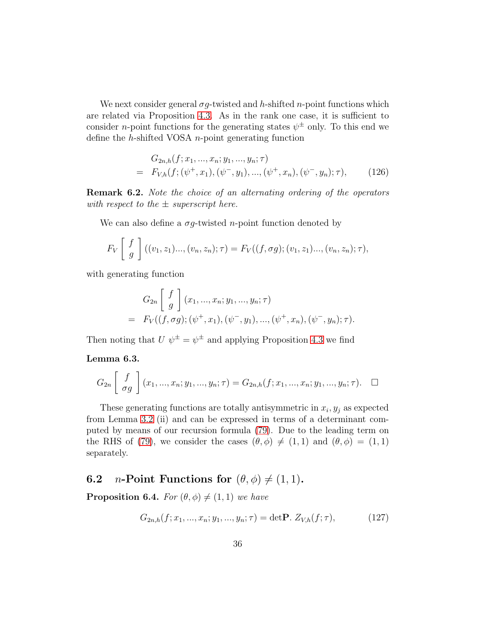We next consider general  $\sigma g$ -twisted and h-shifted n-point functions which are related via Proposition [4.3.](#page-26-0) As in the rank one case, it is sufficient to consider *n*-point functions for the generating states  $\psi^{\pm}$  only. To this end we define the  $h$ -shifted VOSA  $n$ -point generating function

<span id="page-35-0"></span>
$$
G_{2n,h}(f; x_1, ..., x_n; y_1, ..., y_n; \tau)
$$
  
=  $F_{V,h}(f; (\psi^+, x_1), (\psi^-, y_1), ..., (\psi^+, x_n), (\psi^-, y_n); \tau),$  (126)

<span id="page-35-1"></span>Remark 6.2. Note the choice of an alternating ordering of the operators with respect to the  $\pm$  superscript here.

We can also define a  $\sigma g$ -twisted *n*-point function denoted by

$$
F_V\left[\begin{array}{c} f \\ g \end{array}\right]((v_1, z_1)\dots, (v_n, z_n); \tau) = F_V((f, \sigma g); (v_1, z_1)\dots, (v_n, z_n); \tau),
$$

with generating function

$$
G_{2n}\left[\begin{array}{c}f\\g\end{array}\right](x_1, ..., x_n; y_1, ..., y_n; \tau)
$$
  
=  $F_V((f, \sigma g); (\psi^+, x_1), (\psi^-, y_1), ..., (\psi^+, x_n), (\psi^-, y_n); \tau).$ 

Then noting that  $U \psi^{\pm} = \psi^{\pm}$  and applying Proposition [4.3](#page-26-0) we find

#### Lemma 6.3.

$$
G_{2n}\left[\begin{array}{c}f\\ \sigma g\end{array}\right](x_1,...,x_n;y_1,...,y_n;\tau)=G_{2n,h}(f;x_1,...,x_n;y_1,...,y_n;\tau).
$$

These generating functions are totally antisymmetric in  $x_i, y_j$  as expected from Lemma [3.2](#page-18-1) (ii) and can be expressed in terms of a determinant computed by means of our recursion formula [\(79\)](#page-20-1). Due to the leading term on the RHS of [\(79\)](#page-20-1), we consider the cases  $(\theta, \phi) \neq (1, 1)$  and  $(\theta, \phi) = (1, 1)$ separately.

### **6.2** *n*-Point Functions for  $(\theta, \phi) \neq (1, 1)$ .

<span id="page-35-3"></span>**Proposition 6.4.** For  $(\theta, \phi) \neq (1, 1)$  we have

<span id="page-35-2"></span>
$$
G_{2n,h}(f;x_1,...,x_n;y_1,...,y_n;\tau) = \det \mathbf{P}. \ Z_{V,h}(f;\tau), \tag{127}
$$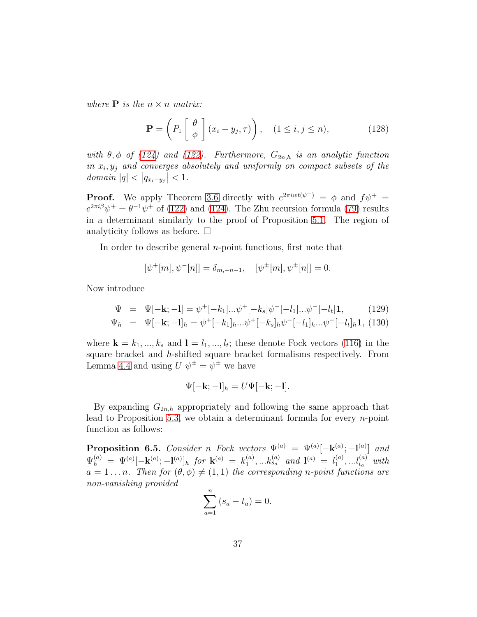where **P** is the  $n \times n$  matrix:

<span id="page-36-1"></span>
$$
\mathbf{P} = \left( P_1 \begin{bmatrix} \theta \\ \phi \end{bmatrix} (x_i - y_j, \tau) \right), \quad (1 \le i, j \le n), \tag{128}
$$

with  $\theta$ ,  $\phi$  of [\(124\)](#page-34-1) and [\(122\)](#page-34-2). Furthermore,  $G_{2n,h}$  is an analytic function in  $x_i, y_j$  and converges absolutely and uniformly on compact subsets of the domain  $|q| < |q_{x_i-y_j}| < 1$ .

**Proof.** We apply Theorem [3.6](#page-20-2) directly with  $e^{2\pi iwt(\psi^+)} = \phi$  and  $f\psi^+ =$  $e^{2\pi i\beta}\psi^+ = \theta^{-1}\psi^+$  of [\(122\)](#page-34-2) and [\(124\)](#page-34-1). The Zhu recursion formula [\(79\)](#page-20-1) results in a determinant similarly to the proof of Proposition [5.1.](#page-29-2) The region of analyticity follows as before.  $\Box$ 

In order to describe general *n*-point functions, first note that

$$
[\psi^+[m], \psi^-[n]] = \delta_{m,-n-1}, \quad [\psi^{\pm}[m], \psi^{\pm}[n]] = 0.
$$

Now introduce

$$
\Psi = \Psi[-\mathbf{k}; -\mathbf{l}] = \psi^+[-k_1]...\psi^+[-k_s]\psi^-[-l_1]...\psi^-[-l_t]\mathbf{1}, \qquad (129)
$$
  

$$
\Psi_h = \Psi[-\mathbf{k}; -\mathbf{l}]_h = \psi^+[-k_1]_h...\psi^+[-k_s]_h\psi^-[-l_1]_h...\psi^-[-l_t]_h\mathbf{1}, \qquad (130)
$$

where  $\mathbf{k} = k_1, ..., k_s$  and  $\mathbf{l} = l_1, ..., l_t$ ; these denote Fock vectors [\(116\)](#page-33-0) in the square bracket and h-shifted square bracket formalisms respectively. From Lemma [4.4](#page-27-2) and using  $U \psi^{\pm} = \psi^{\pm}$  we have

$$
\Psi[-\mathbf{k};-\mathbf{l}]_h = U\Psi[-\mathbf{k};-\mathbf{l}].
$$

By expanding  $G_{2n,h}$  appropriately and following the same approach that lead to Proposition [5.3,](#page-31-2) we obtain a determinant formula for every  $n$ -point function as follows:

<span id="page-36-0"></span>**Proposition 6.5.** Consider n Fock vectors  $\Psi^{(a)} = \Psi^{(a)}[-\mathbf{k}^{(a)};\mathbf{-l}^{(a)}]$  and  $\Psi_h^{(a)} = \Psi^{(a)}[-\mathbf{k}^{(a)}; -\mathbf{l}^{(a)}]_h$  for  $\mathbf{k}^{(a)} = k_1^{(a)}$  $\mathbf{1}_{1}^{(a)},...k_{s_{a}}^{(a)}$  and  $\mathbf{1}^{(a)} = l_{1}^{(a)}$  $\binom{a}{1}, \ldots \binom{a}{t_a}$  with  $a = 1 \dots n$ . Then for  $(\theta, \phi) \neq (1, 1)$  the corresponding n-point functions are non-vanishing provided

$$
\sum_{a=1}^{n} (s_a - t_a) = 0.
$$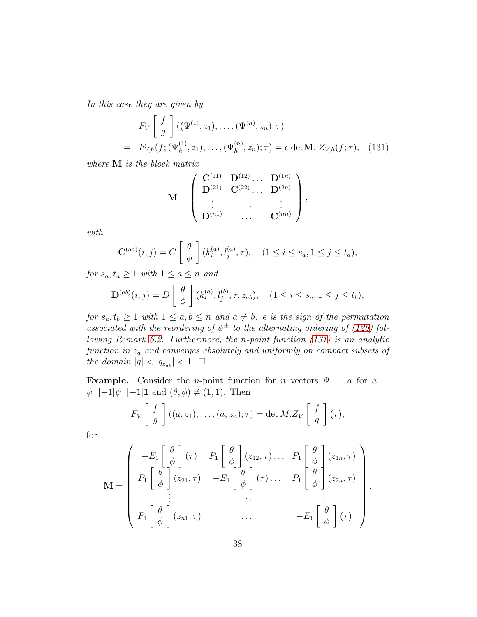In this case they are given by

<span id="page-37-0"></span>
$$
F_V \begin{bmatrix} f \\ g \end{bmatrix} ((\Psi^{(1)}, z_1), \dots, (\Psi^{(n)}, z_n); \tau)
$$
  
=  $F_{V,h}(f; (\Psi_h^{(1)}, z_1), \dots, (\Psi_h^{(n)}, z_n); \tau) = \epsilon \det \mathbf{M}.$   $Z_{V,h}(f; \tau),$  (131)

where M is the block matrix

$$
\mathbf{M} = \left( \begin{array}{cccc} \mathbf{C}^{(11)} & \mathbf{D}^{(12)} \dots & \mathbf{D}^{(1n)} \\ \mathbf{D}^{(21)} & \mathbf{C}^{(22)} \dots & \mathbf{D}^{(2n)} \\ \vdots & \vdots & \ddots & \vdots \\ \mathbf{D}^{(n1)} & \dots & \mathbf{C}^{(nn)} \end{array} \right),
$$

with

$$
\mathbf{C}^{(aa)}(i,j) = C\left[\begin{array}{c} \theta \\ \phi \end{array}\right] (k_i^{(a)}, l_j^{(a)}, \tau), \quad (1 \le i \le s_a, 1 \le j \le t_a),
$$

for  $s_a, t_a \geq 1$  with  $1 \leq a \leq n$  and

$$
\mathbf{D}^{(ab)}(i,j) = D\left[\begin{array}{c} \theta \\ \phi \end{array}\right] (k_i^{(a)}, l_j^{(b)}, \tau, z_{ab}), \quad (1 \le i \le s_a, 1 \le j \le t_b),
$$

for  $s_a, t_b \geq 1$  with  $1 \leq a, b \leq n$  and  $a \neq b$ .  $\epsilon$  is the sign of the permutation associated with the reordering of  $\psi^{\pm}$  to the alternating ordering of [\(126\)](#page-35-0) following Remark [6.2.](#page-35-1) Furthermore, the n-point function [\(131\)](#page-37-0) is an analytic function in  $z_a$  and converges absolutely and uniformly on compact subsets of the domain  $|q| < |q_{z_{ab}}| < 1. \ \Box$ 

**Example.** Consider the *n*-point function for *n* vectors  $\Psi = a$  for  $a =$  $\psi^+[-1]\psi^-[-1]\mathbf{1}$  and  $(\theta, \phi) \neq (1, 1)$ . Then

$$
F_V\left[\begin{array}{c}f\\g\end{array}\right]((a,z_1),\ldots,(a,z_n);\tau)=\det M.Z_V\left[\begin{array}{c}f\\g\end{array}\right](\tau),
$$

for

$$
\mathbf{M} = \begin{pmatrix} -E_1 \begin{bmatrix} \theta \\ \phi \end{bmatrix} (\tau) & P_1 \begin{bmatrix} \theta \\ \phi \end{bmatrix} (z_{12}, \tau) \dots & P_1 \begin{bmatrix} \theta \\ \phi \\ \phi \end{bmatrix} (z_{1n}, \tau) \\ P_1 \begin{bmatrix} \theta \\ \phi \end{bmatrix} (z_{21}, \tau) & -E_1 \begin{bmatrix} \theta \\ \phi \\ \phi \end{bmatrix} (\tau) \dots & P_1 \begin{bmatrix} \theta \\ \phi \\ \phi \end{bmatrix} (z_{2n}, \tau) \\ \vdots & \ddots & \vdots \\ P_1 \begin{bmatrix} \theta \\ \phi \end{bmatrix} (z_{n1}, \tau) & \dots & -E_1 \begin{bmatrix} \theta \\ \phi \end{bmatrix} (\tau) \end{pmatrix}
$$

.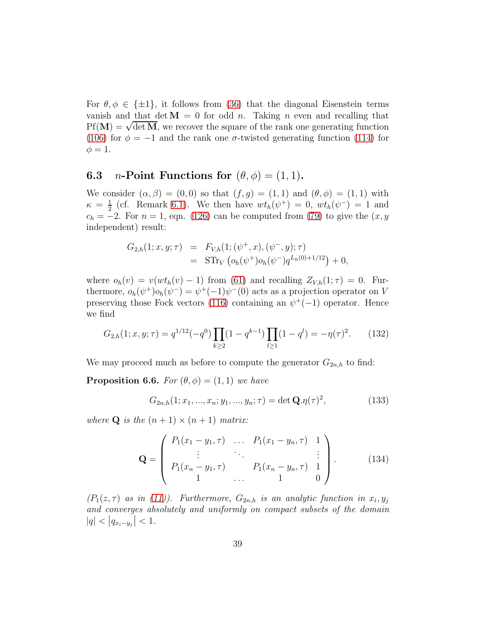For  $\theta, \phi \in {\pm 1}$ , it follows from [\(36\)](#page-11-5) that the diagonal Eisenstein terms vanish and that det  $M = 0$  for odd n. Taking n even and recalling that  $Pf(\mathbf{M}) = \sqrt{\det \mathbf{M}}$ , we recover the square of the rank one generating function [\(106\)](#page-29-1) for  $\phi = -1$  and the rank one  $\sigma$ -twisted generating function [\(114\)](#page-32-0) for  $\phi = 1.$ 

### **6.3** *n*-Point Functions for  $(\theta, \phi) = (1, 1)$ .

We consider  $(\alpha, \beta) = (0, 0)$  so that  $(f, g) = (1, 1)$  and  $(\theta, \phi) = (1, 1)$  with  $\kappa = \frac{1}{2}$  $\frac{1}{2}$  (cf. Remark [6.1\)](#page-34-3). We then have  $wt_h(\psi^+) = 0$ ,  $wt_h(\psi^-) = 1$  and  $c_h = -2$ . For  $n = 1$ , eqn. [\(126\)](#page-35-0) can be computed from [\(79\)](#page-20-1) to give the  $(x, y)$ independent) result:

$$
G_{2,h}(1;x,y;\tau) = F_{V,h}(1;(\psi^+,x),(\psi^-,y);\tau)
$$
  
= 
$$
STr_V(\rho_h(\psi^+)\rho_h(\psi^-)q^{L_h(0)+1/12}) + 0,
$$

where  $o_h(v) = v(wt_h(v) - 1)$  from [\(61\)](#page-16-0) and recalling  $Z_{V,h}(1;\tau) = 0$ . Furthermore,  $o_h(\psi^+) o_h(\psi^-) = \psi^+(-1)\psi^-(0)$  acts as a projection operator on V preserving those Fock vectors [\(116\)](#page-33-0) containing an  $\psi^+(-1)$  operator. Hence we find

<span id="page-38-0"></span>
$$
G_{2,h}(1;x,y;\tau) = q^{1/12}(-q^0) \prod_{k \ge 2} (1 - q^{k-1}) \prod_{l \ge 1} (1 - q^l) = -\eta(\tau)^2.
$$
 (132)

We may proceed much as before to compute the generator  $G_{2n,h}$  to find:

<span id="page-38-1"></span>**Proposition 6.6.** For  $(\theta, \phi) = (1, 1)$  we have

$$
G_{2n,h}(1; x_1, ..., x_n; y_1, ..., y_n; \tau) = \det \mathbf{Q}.\eta(\tau)^2,
$$
\n(133)

where **Q** is the  $(n + 1) \times (n + 1)$  matrix:

<span id="page-38-2"></span>
$$
\mathbf{Q} = \begin{pmatrix} P_1(x_1 - y_1, \tau) & \dots & P_1(x_1 - y_n, \tau) & 1 \\ \vdots & \ddots & & \vdots \\ P_1(x_n - y_1, \tau) & P_1(x_n - y_n, \tau) & 1 \\ 1 & \dots & 1 & 0 \end{pmatrix} .
$$
 (134)

 $(P_1(z,\tau))$  as in [\(11\)](#page-5-3)). Furthermore,  $G_{2n,h}$  is an analytic function in  $x_i, y_j$ and converges absolutely and uniformly on compact subsets of the domain  $|q| < |q_{x_i-y_j}| < 1.$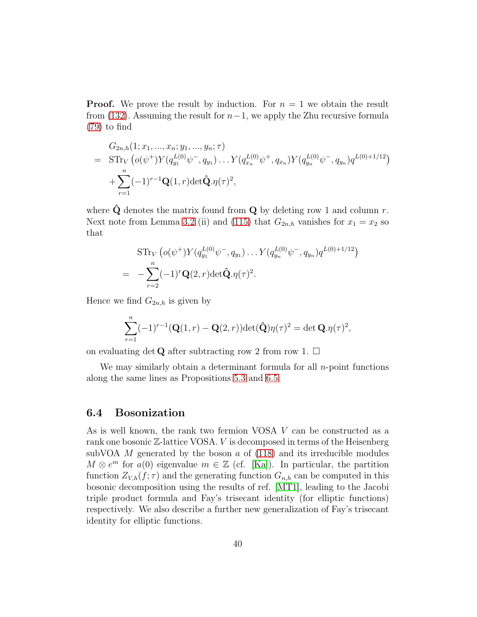**Proof.** We prove the result by induction. For  $n = 1$  we obtain the result from [\(132\)](#page-38-0). Assuming the result for  $n-1$ , we apply the Zhu recursive formula [\(79\)](#page-20-1) to find

$$
G_{2n,h}(1; x_1, ..., x_n; y_1, ..., y_n; \tau)
$$
  
=  $\text{STr}_V \left( o(\psi^+) Y(q_{y_1}^{L(0)} \psi^-, q_{y_1}) \dots Y(q_{x_n}^{L(0)} \psi^+, q_{x_n}) Y(q_{y_n}^{L(0)} \psi^-, q_{y_n}) q^{L(0)+1/12} \right)$   
+  $\sum_{r=1}^n (-1)^{r-1} \mathbf{Q}(1, r) \det \hat{\mathbf{Q}} \cdot \eta(\tau)^2$ ,

where  $\hat{Q}$  denotes the matrix found from  $Q$  by deleting row 1 and column r. Next note from Lemma [3.2](#page-18-1) (ii) and [\(115\)](#page-33-2) that  $G_{2n,h}$  vanishes for  $x_1 = x_2$  so that

$$
\begin{split} \n\mathrm{STr}_V\left( o(\psi^+) Y(q_{y_1}^{L(0)} \psi^-, q_{y_1}) \dots Y(q_{y_n}^{L(0)} \psi^-, q_{y_n}) q^{L(0)+1/12} \right) \\ \n&= -\sum_{r=2}^n (-1)^r \mathbf{Q}(2, r) \det \hat{\mathbf{Q}} . \eta(\tau)^2. \n\end{split}
$$

Hence we find  $G_{2n,h}$  is given by

$$
\sum_{r=1}^{n}(-1)^{r-1}(\mathbf{Q}(1,r)-\mathbf{Q}(2,r))\det(\widehat{\mathbf{Q}})\eta(\tau)^{2}=\det\mathbf{Q}.\eta(\tau)^{2},
$$

on evaluating det **Q** after subtracting row 2 from row 1.  $\Box$ 

We may similarly obtain a determinant formula for all  $n$ -point functions along the same lines as Propositions [5.3](#page-31-2) and [6.5.](#page-36-0)

#### <span id="page-39-0"></span>6.4 Bosonization

As is well known, the rank two fermion VOSA V can be constructed as a rank one bosonic  $\mathbb{Z}$ -lattice VOSA. V is decomposed in terms of the Heisenberg subVOA  $M$  generated by the boson  $\alpha$  of [\(118\)](#page-33-3) and its irreducible modules  $M \otimes e^m$  for  $a(0)$  eigenvalue  $m \in \mathbb{Z}$  (cf. [\[Ka\]](#page-48-11)). In particular, the partition function  $Z_{V,h}(f;\tau)$  and the generating function  $G_{n,h}$  can be computed in this bosonic decomposition using the results of ref. [\[MT1\]](#page-48-0), leading to the Jacobi triple product formula and Fay's trisecant identity (for elliptic functions) respectively. We also describe a further new generalization of Fay's trisecant identity for elliptic functions.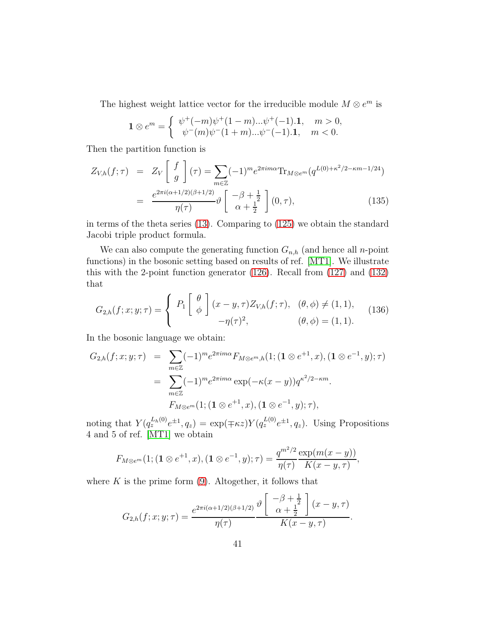The highest weight lattice vector for the irreducible module  $M \otimes e^m$  is

$$
\mathbf{1} \otimes e^m = \begin{cases} \psi^+(-m)\psi^+(1-m)... \psi^+(-1). \mathbf{1}, & m > 0, \\ \psi^-(m)\psi^-(1+m)... \psi^-(-1). \mathbf{1}, & m < 0. \end{cases}
$$

Then the partition function is

<span id="page-40-1"></span>
$$
Z_{V,h}(f;\tau) = Z_V \left[ \begin{array}{c} f \\ g \end{array} \right] (\tau) = \sum_{m \in \mathbb{Z}} (-1)^m e^{2\pi i m \alpha} \text{Tr}_{M \otimes e^m} (q^{L(0) + \kappa^2/2 - \kappa m - 1/24})
$$

$$
= \frac{e^{2\pi i (\alpha + 1/2)(\beta + 1/2)}}{\eta(\tau)} \vartheta \left[ \begin{array}{c} -\beta + \frac{1}{2} \\ \alpha + \frac{1}{2} \end{array} \right] (0,\tau), \tag{135}
$$

in terms of the theta series [\(13\)](#page-5-4). Comparing to [\(125\)](#page-34-0) we obtain the standard Jacobi triple product formula.

We can also compute the generating function  $G_{n,h}$  (and hence all n-point functions) in the bosonic setting based on results of ref. [\[MT1\]](#page-48-0). We illustrate this with the 2-point function generator [\(126\)](#page-35-0). Recall from [\(127\)](#page-35-2) and [\(132\)](#page-38-0) that

<span id="page-40-0"></span>
$$
G_{2,h}(f;x;y;\tau) = \begin{cases} P_1 \begin{bmatrix} \theta \\ \phi \end{bmatrix} (x-y,\tau) Z_{V,h}(f;\tau), & (\theta,\phi) \neq (1,1), \\ -\eta(\tau)^2, & (\theta,\phi) = (1,1). \end{cases} (136)
$$

In the bosonic language we obtain:

$$
G_{2,h}(f;x;y;\tau) = \sum_{m \in \mathbb{Z}} (-1)^m e^{2\pi i m \alpha} F_{M \otimes e^m, h}(1; (\mathbf{1} \otimes e^{+1}, x), (\mathbf{1} \otimes e^{-1}, y); \tau)
$$
  

$$
= \sum_{m \in \mathbb{Z}} (-1)^m e^{2\pi i m \alpha} \exp(-\kappa (x - y)) q^{\kappa^2/2 - \kappa m}.
$$
  

$$
F_{M \otimes e^m}(1; (\mathbf{1} \otimes e^{+1}, x), (\mathbf{1} \otimes e^{-1}, y); \tau),
$$

noting that  $Y(q_z^{L_h(0)}e^{\pm 1}, q_z) = \exp(\mp \kappa z)Y(q_z^{L(0)}e^{\pm 1}, q_z)$ . Using Propositions 4 and 5 of ref. [\[MT1\]](#page-48-0) we obtain

$$
F_{M\otimes e^m}(1; (\mathbf{1}\otimes e^{+1}, x), (\mathbf{1}\otimes e^{-1}, y); \tau) = \frac{q^{m^2/2}}{\eta(\tau)} \frac{\exp(m(x-y))}{K(x-y, \tau)},
$$

where  $K$  is the prime form  $(9)$ . Altogether, it follows that

$$
G_{2,h}(f;x;y;\tau) = \frac{e^{2\pi i (\alpha + 1/2)(\beta + 1/2)}}{\eta(\tau)} \frac{\vartheta \left[ \frac{-\beta + \frac{1}{2}}{\alpha + \frac{1}{2}} \right] (x - y, \tau)}{K(x - y, \tau)}.
$$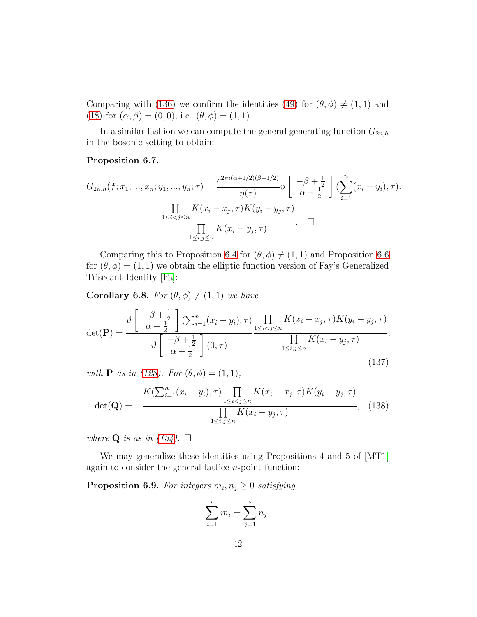Comparing with [\(136\)](#page-40-0) we confirm the identities [\(49\)](#page-14-1) for  $(\theta, \phi) \neq (1, 1)$  and [\(18\)](#page-6-3) for  $(\alpha, \beta) = (0, 0)$ , i.e.  $(\theta, \phi) = (1, 1)$ .

In a similar fashion we can compute the general generating function  $G_{2n,h}$ in the bosonic setting to obtain:

#### Proposition 6.7.

$$
G_{2n,h}(f; x_1, ..., x_n; y_1, ..., y_n; \tau) = \frac{e^{2\pi i (\alpha + 1/2)(\beta + 1/2)}}{\eta(\tau)} \vartheta \left[ \frac{-\beta + \frac{1}{2}}{\alpha + \frac{1}{2}} \right] (\sum_{i=1}^n (x_i - y_i), \tau).
$$

$$
\frac{\prod_{1 \le i < j \le n} K(x_i - x_j, \tau) K(y_i - y_j, \tau)}{\prod_{1 \le i, j \le n} K(x_i - y_j, \tau)}.
$$

Comparing this to Proposition [6.4](#page-35-3) for  $(\theta, \phi) \neq (1, 1)$  and Proposition [6.6](#page-38-1) for  $(\theta, \phi) = (1, 1)$  we obtain the elliptic function version of Fay's Generalized Trisecant Identity [\[Fa\]](#page-47-10):

**Corollary 6.8.** For  $(\theta, \phi) \neq (1, 1)$  we have

$$
\det(\mathbf{P}) = \frac{\vartheta\left[\begin{array}{c}\n-\beta + \frac{1}{2} \\
\alpha + \frac{1}{2}\n\end{array}\right] \left(\sum_{i=1}^{n} (x_i - y_i), \tau\right)}{\vartheta\left[\begin{array}{c}\n-\beta + \frac{1}{2} \\
\alpha + \frac{1}{2}\n\end{array}\right] (0, \tau)} \frac{\prod_{1 \leq i < j \leq n} K(x_i - x_j, \tau) K(y_i - y_j, \tau)}{\prod_{1 \leq i, j \leq n} K(x_i - y_j, \tau)},\tag{137}
$$

with **P** as in [\(128\)](#page-36-1). For  $(\theta, \phi) = (1, 1)$ ,

<span id="page-41-0"></span>
$$
\det(\mathbf{Q}) = -\frac{K(\sum_{i=1}^{n} (x_i - y_i), \tau) \prod_{1 \le i < j \le n} K(x_i - x_j, \tau) K(y_i - y_j, \tau)}{\prod_{1 \le i, j \le n} K(x_i - y_j, \tau)}, \quad (138)
$$

where **Q** is as in [\(134\)](#page-38-2).  $\Box$ 

We may generalize these identities using Propositions 4 and 5 of [\[MT1\]](#page-48-0) again to consider the general lattice  $n$ -point function:

**Proposition 6.9.** For integers  $m_i, n_j \geq 0$  satisfying

$$
\sum_{i=1}^{r} m_i = \sum_{j=1}^{s} n_j,
$$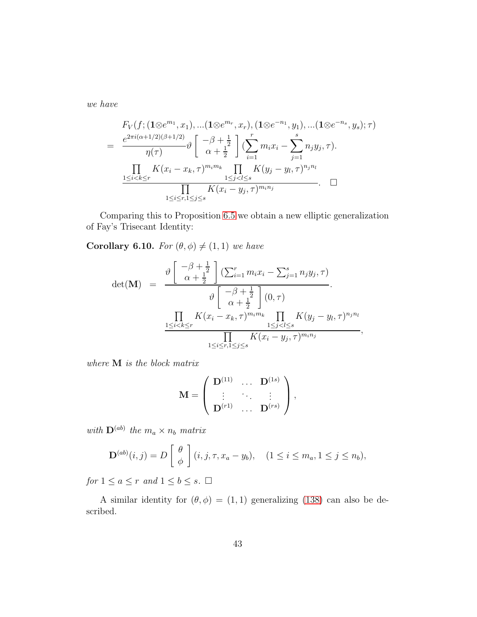we have

$$
F_V(f; (\mathbf{1} \otimes e^{m_1}, x_1), \dots (\mathbf{1} \otimes e^{m_r}, x_r), (\mathbf{1} \otimes e^{-n_1}, y_1), \dots (\mathbf{1} \otimes e^{-n_s}, y_s); \tau)
$$
  
= 
$$
\frac{e^{2\pi i (\alpha + 1/2)(\beta + 1/2)}}{\eta(\tau)} \vartheta \left[ \begin{array}{c} -\beta + \frac{1}{2} \\ \alpha + \frac{1}{2} \end{array} \right] \left( \sum_{i=1}^r m_i x_i - \sum_{j=1}^s n_j y_j, \tau \right).
$$
  

$$
\frac{\prod_{1 \le i < k \le r} K(x_i - x_k, \tau)^{m_i m_k}}{\prod_{1 \le i < r, 1 \le j \le s} K(y_j - y_l, \tau)^{n_j n_l}}.
$$

Comparing this to Proposition [6.5](#page-36-0) we obtain a new elliptic generalization of Fay's Trisecant Identity:

**Corollary 6.10.** For  $(\theta, \phi) \neq (1, 1)$  we have

$$
\det(\mathbf{M}) = \frac{\vartheta \left[ \begin{array}{c} -\beta + \frac{1}{2} \\ \alpha + \frac{1}{2} \end{array} \right] (\sum_{i=1}^{r} m_i x_i - \sum_{j=1}^{s} n_j y_j, \tau)}{\vartheta \left[ \begin{array}{c} -\beta + \frac{1}{2} \\ \alpha + \frac{1}{2} \end{array} \right] (0, \tau)}.
$$
\n
$$
\frac{\prod_{1 \leq i < k \leq r} K(x_i - x_k, \tau)^{m_i m_k} \prod_{1 \leq j < l \leq s} K(y_j - y_l, \tau)^{n_j n_l}}{\prod_{1 \leq i \leq r, 1 \leq j \leq s} K(x_i - y_j, \tau)^{m_i n_j}},
$$

where M is the block matrix

$$
\mathbf{M} = \left( \begin{array}{ccc} \mathbf{D}^{(11)} & \dots & \mathbf{D}^{(1s)} \\ \vdots & \ddots & \vdots \\ \mathbf{D}^{(r1)} & \dots & \mathbf{D}^{(rs)} \end{array} \right),
$$

with  $\mathbf{D}^{(ab)}$  the  $m_a \times n_b$  matrix

$$
\mathbf{D}^{(ab)}(i,j) = D\left[\begin{array}{c} \theta \\ \phi \end{array}\right](i,j,\tau,x_a - y_b), \quad (1 \le i \le m_a, 1 \le j \le n_b),
$$

for  $1 \le a \le r$  and  $1 \le b \le s$ .  $\Box$ 

A similar identity for  $(\theta, \phi) = (1, 1)$  generalizing [\(138\)](#page-41-0) can also be described.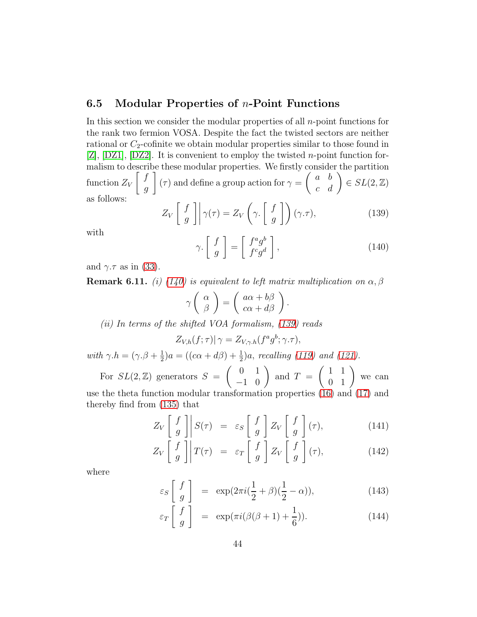#### 6.5 Modular Properties of  $n$ -Point Functions

In this section we consider the modular properties of all n-point functions for the rank two fermion VOSA. Despite the fact the twisted sectors are neither rational or  $C_2$ -cofinite we obtain modular properties similar to those found in  $[Z], [DZ1], [DZ2]$  $[Z], [DZ1], [DZ2]$  $[Z], [DZ1], [DZ2]$  $[Z], [DZ1], [DZ2]$  $[Z], [DZ1], [DZ2]$ . It is convenient to employ the twisted *n*-point function formalism to describe these modular properties. We firstly consider the partition function  $Z_V$  $\int f$ g 1  $(\tau)$  and define a group action for  $\gamma =$  $\left(\begin{array}{cc} a & b \\ c & d \end{array}\right) \in SL(2, \mathbb{Z})$ as follows:

<span id="page-43-1"></span>
$$
Z_V \begin{bmatrix} f \\ g \end{bmatrix} \gamma(\tau) = Z_V \left( \gamma. \begin{bmatrix} f \\ g \end{bmatrix} \right) (\gamma. \tau), \tag{139}
$$

with

<span id="page-43-0"></span>
$$
\gamma. \left[ \begin{array}{c} f \\ g \end{array} \right] = \left[ \begin{array}{c} f^a g^b \\ f^c g^d \end{array} \right], \tag{140}
$$

and  $\gamma.\tau$  as in [\(33\)](#page-10-3).

**Remark 6.11.** (i) [\(140\)](#page-43-0) is equivalent to left matrix multiplication on  $\alpha$ ,  $\beta$ 

$$
\gamma \left( \begin{array}{c} \alpha \\ \beta \end{array} \right) = \left( \begin{array}{c} a\alpha + b\beta \\ c\alpha + d\beta \end{array} \right).
$$

(ii) In terms of the shifted VOA formalism, [\(139\)](#page-43-1) reads

$$
Z_{V,h}(f;\tau)|\gamma = Z_{V,\gamma,h}(f^a g^b;\gamma.\tau),
$$

with  $\gamma.h = (\gamma.\beta + \frac{1}{2})$  $\frac{1}{2}$ )a = ((c $\alpha + d\beta$ ) +  $\frac{1}{2}$ )a, recalling [\(119\)](#page-33-4) and [\(121\)](#page-34-4).

For  $SL(2, \mathbb{Z})$  generators  $S = \begin{pmatrix} 0 & 1 \\ -1 & 0 \end{pmatrix}$ and  $T =$  $\left(\begin{array}{cc} 1 & 1 \\ 0 & 1 \end{array}\right)$  we can use the theta function modular transformation properties [\(16\)](#page-6-4) and [\(17\)](#page-6-4) and thereby find from [\(135\)](#page-40-1) that

$$
Z_V \begin{bmatrix} f \\ g \end{bmatrix} \begin{bmatrix} S(\tau) = \varepsilon_S \begin{bmatrix} f \\ g \end{bmatrix} Z_V \begin{bmatrix} f \\ g \end{bmatrix} (\tau), \tag{141}
$$

$$
Z_V \begin{bmatrix} f \\ g \end{bmatrix} T(\tau) = \varepsilon_T \begin{bmatrix} f \\ g \end{bmatrix} Z_V \begin{bmatrix} f \\ g \end{bmatrix} (\tau), \qquad (142)
$$

where

$$
\varepsilon_S \left[ \begin{array}{c} f \\ g \end{array} \right] = \exp(2\pi i (\frac{1}{2} + \beta)(\frac{1}{2} - \alpha)), \tag{143}
$$

$$
\varepsilon_T \left[ \begin{array}{c} f \\ g \end{array} \right] = \exp(\pi i (\beta(\beta + 1) + \frac{1}{6})). \tag{144}
$$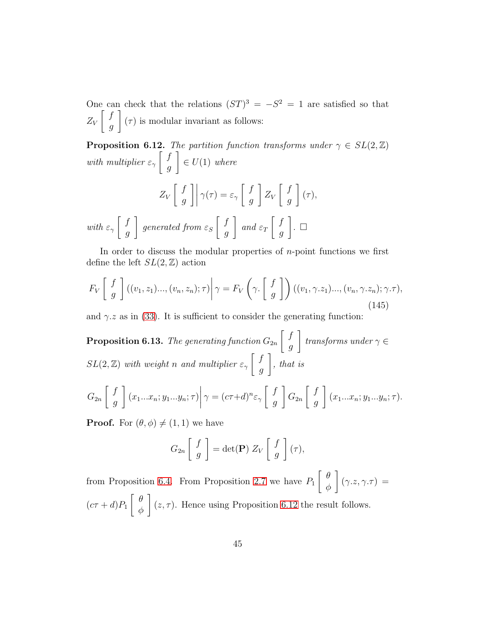One can check that the relations  $(ST)^3 = -S^2 = 1$  are satisfied so that  $Z_V$  $\int f$ g 1  $(\tau)$  is modular invariant as follows:

<span id="page-44-0"></span>**Proposition 6.12.** The partition function transforms under  $\gamma \in SL(2, \mathbb{Z})$ with multiplier  $\varepsilon_{\gamma}$  $\int f$ g 1  $\in U(1)$  where  $Z_V$  $\int f$ g  $\rfloor\rfloor$  $\gamma(\tau) = \varepsilon_{\gamma}$  $\int f$ g 1  $Z_{V}$  $\int f$ g 1  $(\tau),$ with  $\varepsilon_{\gamma}$  $\int f$ g 1 generated from  $\varepsilon_S$  $\int f$ g 1 and  $\varepsilon_T$  $\int f$ g  $]$ . o

In order to discuss the modular properties of  $n$ -point functions we first define the left  $SL(2, \mathbb{Z})$  action

$$
F_V\left[\begin{array}{c} f \\ g \end{array}\right]((v_1, z_1)\dots,(v_n, z_n); \tau)\bigg|\gamma = F_V\left(\gamma \cdot \left[\begin{array}{c} f \\ g \end{array}\right]\right) ((v_1, \gamma. z_1)\dots,(v_n, \gamma. z_n); \gamma. \tau),\tag{145}
$$

and  $\gamma$  as in [\(33\)](#page-10-3). It is sufficient to consider the generating function:

 $\bf{Proposition~6.13.}$  The generating function  $G_{2n}$  $\int f$ g 1 transforms under  $\gamma \in$  $SL(2, \mathbb{Z})$  with weight n and multiplier  $\varepsilon_{\gamma} \left[ \begin{array}{c} f \\ g \end{array} \right]$ g 1 , that is

$$
G_{2n}\left[\begin{array}{c}f\\g\end{array}\right](x_1...x_n;y_1...y_n;\tau)\bigg|\gamma=(c\tau+d)^n\varepsilon_\gamma\left[\begin{array}{c}f\\g\end{array}\right]G_{2n}\left[\begin{array}{c}f\\g\end{array}\right](x_1...x_n;y_1...y_n;\tau).
$$

**Proof.** For  $(\theta, \phi) \neq (1, 1)$  we have

$$
G_{2n}\left[\begin{array}{c}f\\g\end{array}\right]=\det(\mathbf{P})\ Z_V\left[\begin{array}{c}f\\g\end{array}\right](\tau),\
$$

from Proposition [6.4.](#page-35-3) From Proposition [2.7](#page-11-4) we have  $P_1$  $\left[\begin{array}{cc} \theta \end{array}\right]$ φ 1  $(\gamma.z, \gamma.\tau) =$  $(c\tau+d)P_1$  $\left[\begin{array}{cc} \theta \end{array}\right]$ φ 1  $(z, \tau)$ . Hence using Proposition [6.12](#page-44-0) the result follows.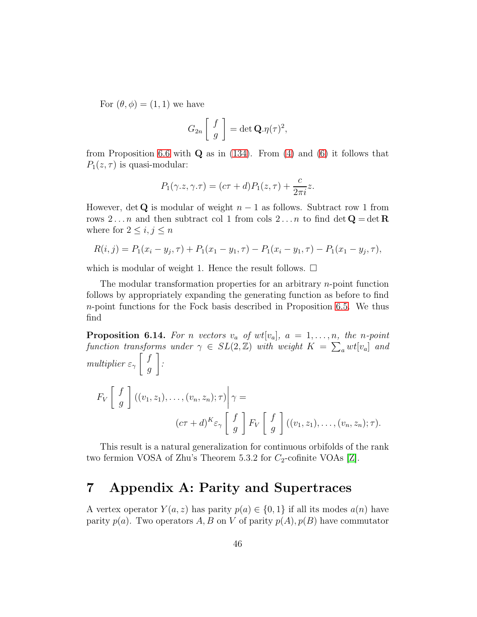For  $(\theta, \phi) = (1, 1)$  we have

$$
G_{2n}\left[\begin{array}{c}f\\g\end{array}\right]=\det\mathbf{Q}.\eta(\tau)^2,
$$

from Proposition [6.6](#page-38-1) with  $Q$  as in [\(134\)](#page-38-2). From [\(4\)](#page-4-2) and [\(6\)](#page-4-3) it follows that  $P_1(z,\tau)$  is quasi-modular:

$$
P_1(\gamma.z, \gamma.\tau) = (c\tau + d)P_1(z, \tau) + \frac{c}{2\pi i}z.
$$

However, det Q is modular of weight  $n-1$  as follows. Subtract row 1 from rows 2... *n* and then subtract col 1 from cols 2... *n* to find det  $Q = det R$ where for  $2 \leq i, j \leq n$ 

$$
R(i,j) = P_1(x_i - y_j, \tau) + P_1(x_1 - y_1, \tau) - P_1(x_i - y_1, \tau) - P_1(x_1 - y_j, \tau),
$$

which is modular of weight 1. Hence the result follows.  $\Box$ 

The modular transformation properties for an arbitrary  $n$ -point function follows by appropriately expanding the generating function as before to find  $n$ -point functions for the Fock basis described in Proposition [6.5.](#page-36-0) We thus find

**Proposition 6.14.** For n vectors  $v_a$  of  $wt[v_a]$ ,  $a = 1, \ldots, n$ , the n-point function transforms under  $\gamma \in SL(2, \mathbb{Z})$  with weight  $K = \sum_{a} wt[v_a]$  and multiplier  $\varepsilon_{\gamma}$  $\int f$ g 1 :

$$
F_V\left[\begin{array}{c} f \\ g \end{array}\right]((v_1, z_1), \dots, (v_n, z_n); \tau)\bigg|\gamma =
$$
  

$$
(c\tau + d)^K \varepsilon_{\gamma}\left[\begin{array}{c} f \\ g \end{array}\right] F_V\left[\begin{array}{c} f \\ g \end{array}\right]((v_1, z_1), \dots, (v_n, z_n); \tau).
$$

This result is a natural generalization for continuous orbifolds of the rank two fermion VOSA of Zhu's Theorem 5.3.2 for  $C_2$ -cofinite VOAs [\[Z\]](#page-49-1).

### 7 Appendix A: Parity and Supertraces

A vertex operator  $Y(a, z)$  has parity  $p(a) \in \{0, 1\}$  if all its modes  $a(n)$  have parity  $p(a)$ . Two operators A, B on V of parity  $p(A), p(B)$  have commutator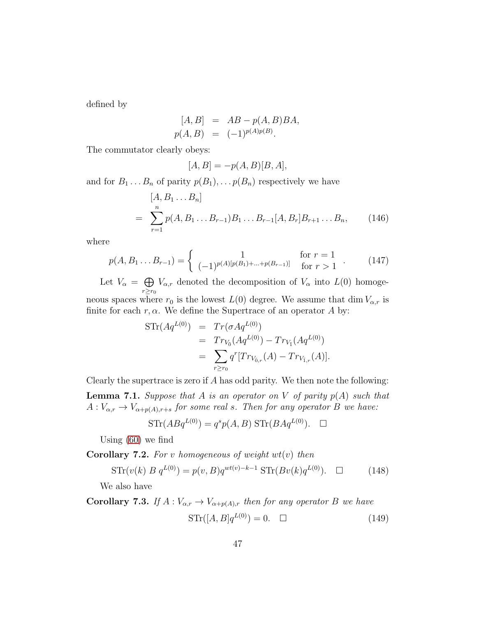defined by

$$
[A, B] = AB - p(A, B)BA,p(A, B) = (-1)^{p(A)p(B)}.
$$

The commutator clearly obeys:

$$
[A, B] = -p(A, B)[B, A],
$$

and for  $B_1 \ldots B_n$  of parity  $p(B_1), \ldots p(B_n)$  respectively we have

<span id="page-46-1"></span>
$$
[A, B_1 ... B_n]
$$
  
= 
$$
\sum_{r=1}^n p(A, B_1 ... B_{r-1}) B_1 ... B_{r-1} [A, B_r] B_{r+1} ... B_n,
$$
 (146)

where

<span id="page-46-0"></span>
$$
p(A, B_1 \dots B_{r-1}) = \begin{cases} 1 & \text{for } r = 1 \\ (-1)^{p(A)[p(B_1) + \dots + p(B_{r-1})]} & \text{for } r > 1 \end{cases} (147)
$$

Let  $V_{\alpha} = \bigoplus$  $r \geq r_0$  $V_{\alpha,r}$  denoted the decomposition of  $V_{\alpha}$  into  $L(0)$  homogeneous spaces where  $r_0$  is the lowest  $L(0)$  degree. We assume that dim  $V_{\alpha,r}$  is

finite for each  $r, \alpha$ . We define the Supertrace of an operator A by:

$$
\begin{array}{rcl}\n\text{STr}(Aq^{L(0)}) & = & Tr(\sigma Aq^{L(0)}) \\
& = & Tr_{V_0}(Aq^{L(0)}) - Tr_{V_{\bar{1}}}(Aq^{L(0)}) \\
& = & \sum_{r \ge r_0} q^r [Tr_{V_{0,r}}(A) - Tr_{V_{\bar{1},r}}(A)].\n\end{array}
$$

Clearly the supertrace is zero if  $A$  has odd parity. We then note the following:

<span id="page-46-2"></span>**Lemma 7.1.** Suppose that A is an operator on V of parity  $p(A)$  such that  $A: V_{\alpha,r} \to V_{\alpha+p(A),r+s}$  for some real s. Then for any operator B we have:

$$
\mathrm{STr}(ABq^{L(0)}) = q^s p(A, B) \mathrm{STr}(BAq^{L(0)}). \square
$$

Using [\(60\)](#page-16-5) we find

**Corollary 7.2.** For v homogeneous of weight  $wt(v)$  then

$$
STr(v(k) B q^{L(0)}) = p(v, B)q^{wt(v)-k-1} STr(Bv(k)q^{L(0)}) \quad \Box \tag{148}
$$

We also have

Corollary 7.3. If  $A: V_{\alpha,r} \to V_{\alpha+p(A),r}$  then for any operator B we have

$$
\operatorname{STr}([A,B]q^{L(0)}) = 0. \quad \Box \tag{149}
$$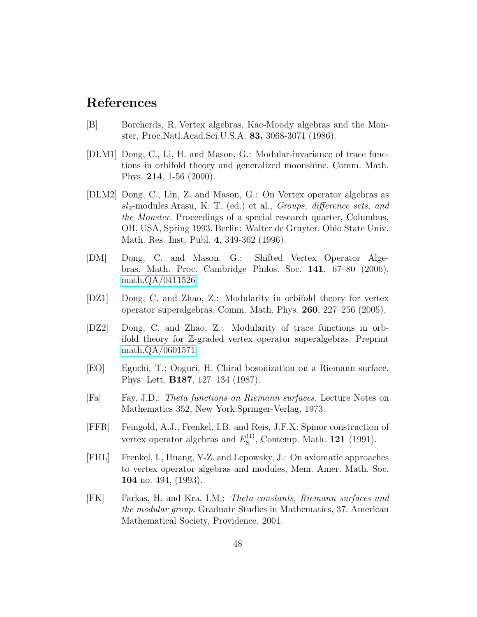### References

- <span id="page-47-6"></span>[B] Borcherds, R.:Vertex algebras, Kac-Moody algebras and the Monster, Proc.Natl.Acad.Sci.U.S.A. 83, 3068-3071 (1986).
- <span id="page-47-0"></span>[DLM1] Dong, C., Li, H. and Mason, G.: Modular-invariance of trace functions in orbifold theory and generalized moonshine. Comm. Math. Phys. 214, 1-56 (2000).
- <span id="page-47-8"></span>[DLM2] Dong, C., Lin, Z. and Mason, G.: On Vertex operator algebras as  $sl_2$ -modules.Arasu, K. T. (ed.) et al., *Groups, difference sets, and* the Monster. Proceedings of a special research quarter, Columbus, OH, USA, Spring 1993. Berlin: Walter de Gruyter. Ohio State Univ. Math. Res. Inst. Publ. 4, 349-362 (1996).
- <span id="page-47-3"></span>[DM] Dong, C. and Mason, G.: Shifted Vertex Operator Algebras. Math. Proc. Cambridge Philos. Soc. 141, 67–80 (2006), [math.QA/0411526.](http://arxiv.org/abs/math/0411526)
- <span id="page-47-1"></span>[DZ1] Dong, C. and Zhao, Z.: Modularity in orbifold theory for vertex operator superalgebras. Comm. Math. Phys. 260, 227–256 (2005).
- <span id="page-47-2"></span>[DZ2] Dong, C. and Zhao, Z.: Modularity of trace functions in orbifold theory for Z-graded vertex operator superalgebras. Preprint [math.QA/0601571.](http://arxiv.org/abs/math/0601571)
- <span id="page-47-4"></span>[EO] Eguchi, T.; Ooguri, H. Chiral bosonization on a Riemann surface. Phys. Lett. B187, 127–134 (1987).
- <span id="page-47-10"></span>[Fa] Fay, J.D.: Theta functions on Riemann surfaces. Lecture Notes on Mathematics 352, New York:Springer-Verlag, 1973.
- <span id="page-47-9"></span>[FFR] Feingold, A.J., Frenkel, I.B. and Reis, J.F.X: Spinor construction of vertex operator algebras and  $E_8^{(1)}$  $_{8}^{(1)}$ , Contemp. Math. **121** (1991).
- <span id="page-47-7"></span>[FHL] Frenkel, I., Huang, Y-Z. and Lepowsky, J.: On axiomatic approaches to vertex operator algebras and modules, Mem. Amer. Math. Soc. 104 no. 494, (1993).
- <span id="page-47-5"></span>[FK] Farkas, H. and Kra, I.M.: Theta constants, Riemann surfaces and the modular group. Graduate Studies in Mathematics, 37. American Mathematical Society, Providence, 2001.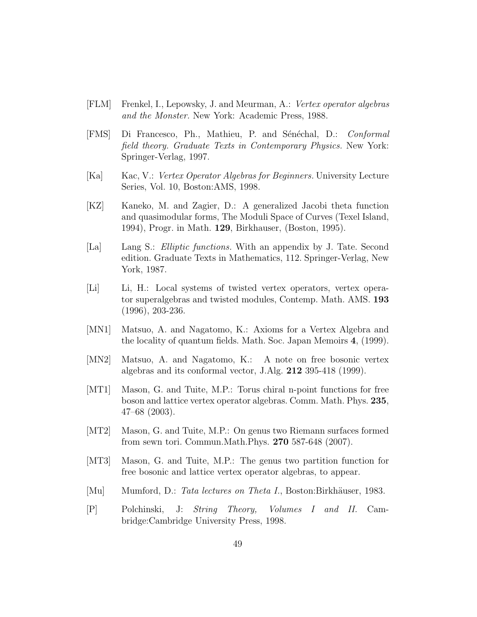- <span id="page-48-10"></span>[FLM] Frenkel, I., Lepowsky, J. and Meurman, A.: Vertex operator algebras and the Monster. New York: Academic Press, 1988.
- <span id="page-48-5"></span>[FMS] Di Francesco, Ph., Mathieu, P. and Sénéchal, D.: *Conformal* field theory. Graduate Texts in Contemporary Physics. New York: Springer-Verlag, 1997.
- <span id="page-48-11"></span>[Ka] Kac, V.: Vertex Operator Algebras for Beginners. University Lecture Series, Vol. 10, Boston:AMS, 1998.
- <span id="page-48-8"></span>[KZ] Kaneko, M. and Zagier, D.: A generalized Jacobi theta function and quasimodular forms, The Moduli Space of Curves (Texel Island, 1994), Progr. in Math. 129, Birkhauser, (Boston, 1995).
- <span id="page-48-7"></span>[La] Lang S.: *Elliptic functions*. With an appendix by J. Tate. Second edition. Graduate Texts in Mathematics, 112. Springer-Verlag, New York, 1987.
- <span id="page-48-3"></span>[Li] Li, H.: Local systems of twisted vertex operators, vertex operator superalgebras and twisted modules, Contemp. Math. AMS. 193 (1996), 203-236.
- <span id="page-48-12"></span>[MN1] Matsuo, A. and Nagatomo, K.: Axioms for a Vertex Algebra and the locality of quantum fields. Math. Soc. Japan Memoirs 4, (1999).
- <span id="page-48-4"></span>[MN2] Matsuo, A. and Nagatomo, K.: A note on free bosonic vertex algebras and its conformal vector, J.Alg. 212 395-418 (1999).
- <span id="page-48-0"></span>[MT1] Mason, G. and Tuite, M.P.: Torus chiral n-point functions for free boson and lattice vertex operator algebras. Comm. Math. Phys. 235, 47–68 (2003).
- <span id="page-48-1"></span>[MT2] Mason, G. and Tuite, M.P.: On genus two Riemann surfaces formed from sewn tori. Commun.Math.Phys. 270 587-648 (2007).
- <span id="page-48-2"></span>[MT3] Mason, G. and Tuite, M.P.: The genus two partition function for free bosonic and lattice vertex operator algebras, to appear.
- <span id="page-48-9"></span>[Mu] Mumford, D.: Tata lectures on Theta I., Boston:Birkhäuser, 1983.
- <span id="page-48-6"></span>[P] Polchinski, J: String Theory, Volumes I and II. Cambridge:Cambridge University Press, 1998.